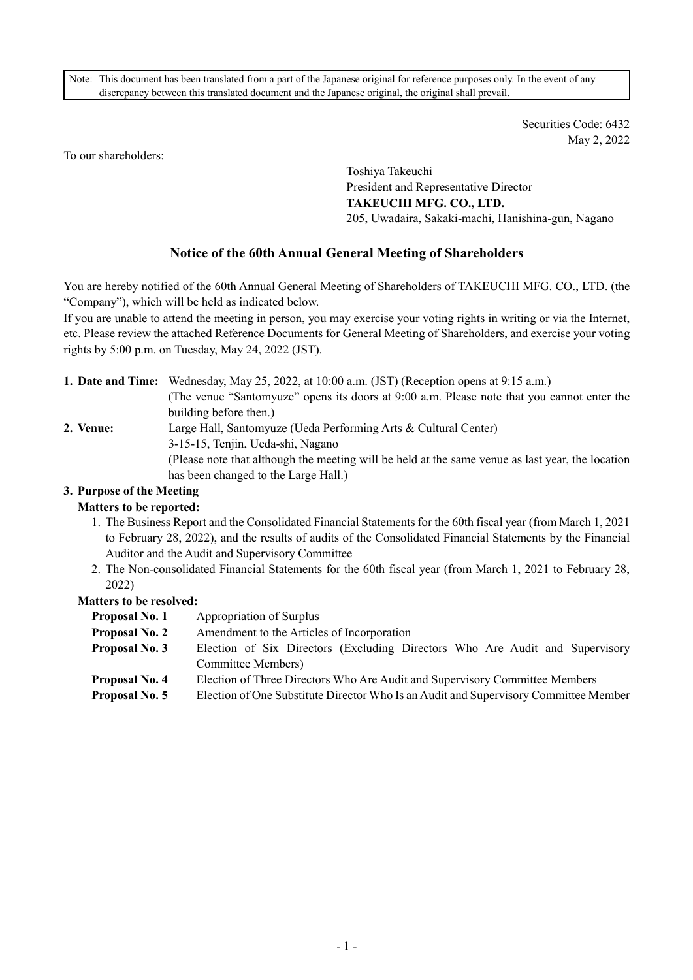Note: This document has been translated from a part of the Japanese original for reference purposes only. In the event of any discrepancy between this translated document and the Japanese original, the original shall prevail.

> Securities Code: 6432 May 2, 2022

To our shareholders:

Toshiya Takeuchi President and Representative Director **TAKEUCHI MFG. CO., LTD.** 205, Uwadaira, Sakaki-machi, Hanishina-gun, Nagano

# **Notice of the 60th Annual General Meeting of Shareholders**

You are hereby notified of the 60th Annual General Meeting of Shareholders of TAKEUCHI MFG. CO., LTD. (the "Company"), which will be held as indicated below.

If you are unable to attend the meeting in person, you may exercise your voting rights in writing or via the Internet, etc. Please review the attached Reference Documents for General Meeting of Shareholders, and exercise your voting rights by 5:00 p.m. on Tuesday, May 24, 2022 (JST).

**1. Date and Time:** Wednesday, May 25, 2022, at 10:00 a.m. (JST) (Reception opens at 9:15 a.m.) (The venue "Santomyuze" opens its doors at 9:00 a.m. Please note that you cannot enter the building before then.) **2. Venue:** Large Hall, Santomyuze (Ueda Performing Arts & Cultural Center) 3-15-15, Tenjin, Ueda-shi, Nagano (Please note that although the meeting will be held at the same venue as last year, the location has been changed to the Large Hall.)

# **3. Purpose of the Meeting**

#### **Matters to be reported:**

- 1. The Business Report and the Consolidated Financial Statements for the 60th fiscal year (from March 1, 2021 to February 28, 2022), and the results of audits of the Consolidated Financial Statements by the Financial Auditor and the Audit and Supervisory Committee
- 2. The Non-consolidated Financial Statements for the 60th fiscal year (from March 1, 2021 to February 28, 2022)

#### **Matters to be resolved:**

- **Proposal No. 1** Appropriation of Surplus
	- **Proposal No. 2** Amendment to the Articles of Incorporation
	- **Proposal No. 3** Election of Six Directors (Excluding Directors Who Are Audit and Supervisory Committee Members)
	- **Proposal No. 4** Election of Three Directors Who Are Audit and Supervisory Committee Members
	- **Proposal No. 5** Election of One Substitute Director Who Is an Audit and Supervisory Committee Member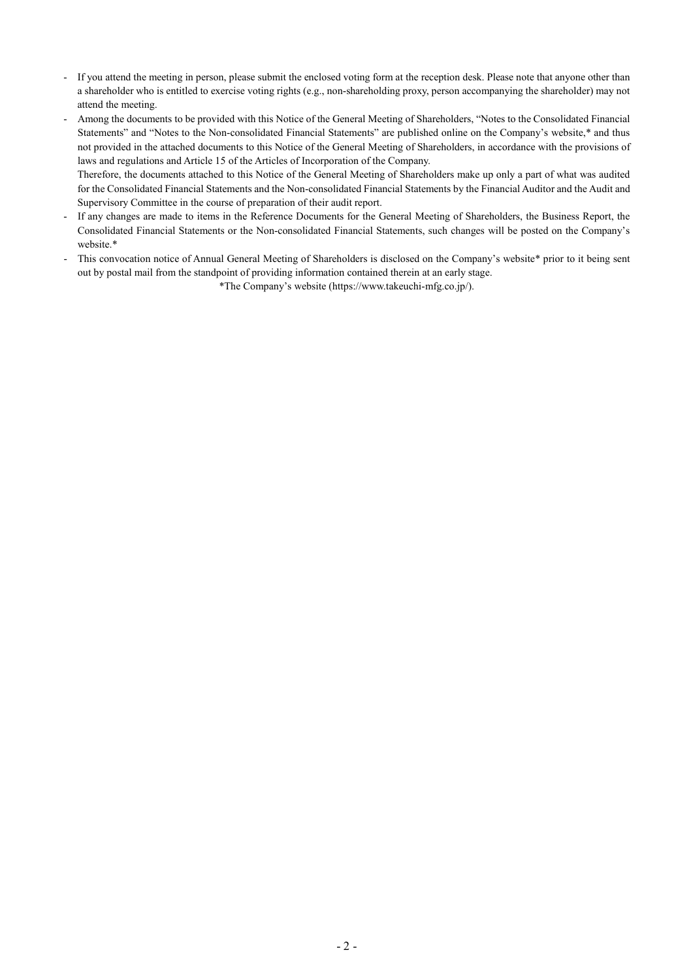- If you attend the meeting in person, please submit the enclosed voting form at the reception desk. Please note that anyone other than a shareholder who is entitled to exercise voting rights (e.g., non-shareholding proxy, person accompanying the shareholder) may not attend the meeting.
- Among the documents to be provided with this Notice of the General Meeting of Shareholders, "Notes to the Consolidated Financial Statements" and "Notes to the Non-consolidated Financial Statements" are published online on the Company's website,\* and thus not provided in the attached documents to this Notice of the General Meeting of Shareholders, in accordance with the provisions of laws and regulations and Article 15 of the Articles of Incorporation of the Company.

Therefore, the documents attached to this Notice of the General Meeting of Shareholders make up only a part of what was audited for the Consolidated Financial Statements and the Non-consolidated Financial Statements by the Financial Auditor and the Audit and Supervisory Committee in the course of preparation of their audit report.

- If any changes are made to items in the Reference Documents for the General Meeting of Shareholders, the Business Report, the Consolidated Financial Statements or the Non-consolidated Financial Statements, such changes will be posted on the Company's website.\*
- This convocation notice of Annual General Meeting of Shareholders is disclosed on the Company's website\* prior to it being sent out by postal mail from the standpoint of providing information contained therein at an early stage.

\*The Company's website (https://www.takeuchi-mfg.co.jp/).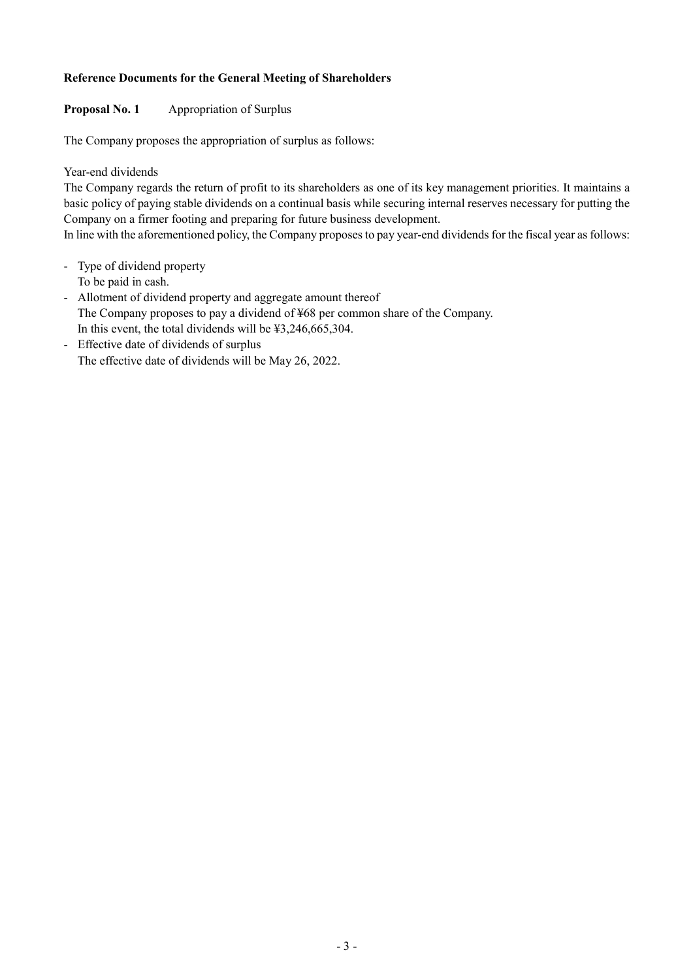## **Reference Documents for the General Meeting of Shareholders**

## **Proposal No. 1** Appropriation of Surplus

The Company proposes the appropriation of surplus as follows:

Year-end dividends

The Company regards the return of profit to its shareholders as one of its key management priorities. It maintains a basic policy of paying stable dividends on a continual basis while securing internal reserves necessary for putting the Company on a firmer footing and preparing for future business development.

In line with the aforementioned policy, the Company proposes to pay year-end dividends for the fiscal year as follows:

- Type of dividend property
	- To be paid in cash.
- Allotment of dividend property and aggregate amount thereof The Company proposes to pay a dividend of ¥68 per common share of the Company. In this event, the total dividends will be ¥3,246,665,304.
- Effective date of dividends of surplus The effective date of dividends will be May 26, 2022.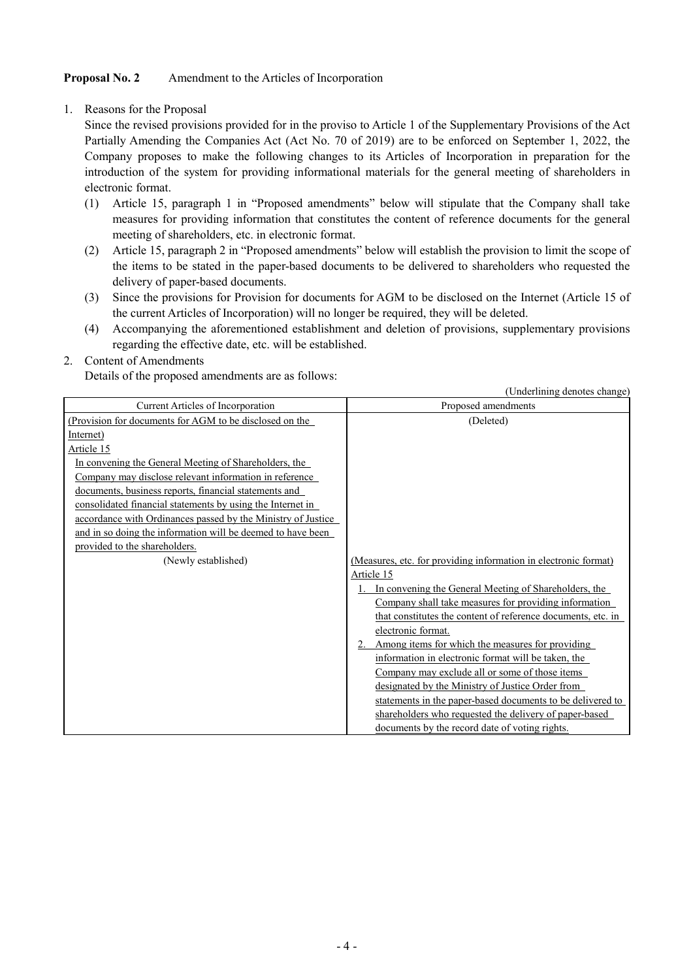## **Proposal No. 2** Amendment to the Articles of Incorporation

1. Reasons for the Proposal

Since the revised provisions provided for in the proviso to Article 1 of the Supplementary Provisions of the Act Partially Amending the Companies Act (Act No. 70 of 2019) are to be enforced on September 1, 2022, the Company proposes to make the following changes to its Articles of Incorporation in preparation for the introduction of the system for providing informational materials for the general meeting of shareholders in electronic format.

- (1) Article 15, paragraph 1 in "Proposed amendments" below will stipulate that the Company shall take measures for providing information that constitutes the content of reference documents for the general meeting of shareholders, etc. in electronic format.
- (2) Article 15, paragraph 2 in "Proposed amendments" below will establish the provision to limit the scope of the items to be stated in the paper-based documents to be delivered to shareholders who requested the delivery of paper-based documents.
- (3) Since the provisions for Provision for documents for AGM to be disclosed on the Internet (Article 15 of the current Articles of Incorporation) will no longer be required, they will be deleted.
- (4) Accompanying the aforementioned establishment and deletion of provisions, supplementary provisions regarding the effective date, etc. will be established.

## 2. Content of Amendments

Details of the proposed amendments are as follows:

(Underlining denotes change) Current Articles of Incorporation Proposed amendments (Provision for documents for AGM to be disclosed on the Internet) Article 15 In convening the General Meeting of Shareholders, the Company may disclose relevant information in reference documents, business reports, financial statements and consolidated financial statements by using the Internet in accordance with Ordinances passed by the Ministry of Justice and in so doing the information will be deemed to have been provided to the shareholders. (Deleted) (Newly established) (Measures, etc. for providing information in electronic format) Article 15 1. In convening the General Meeting of Shareholders, the Company shall take measures for providing information that constitutes the content of reference documents, etc. in electronic format. Among items for which the measures for providing information in electronic format will be taken, the Company may exclude all or some of those items designated by the Ministry of Justice Order from statements in the paper-based documents to be delivered to shareholders who requested the delivery of paper-based documents by the record date of voting rights.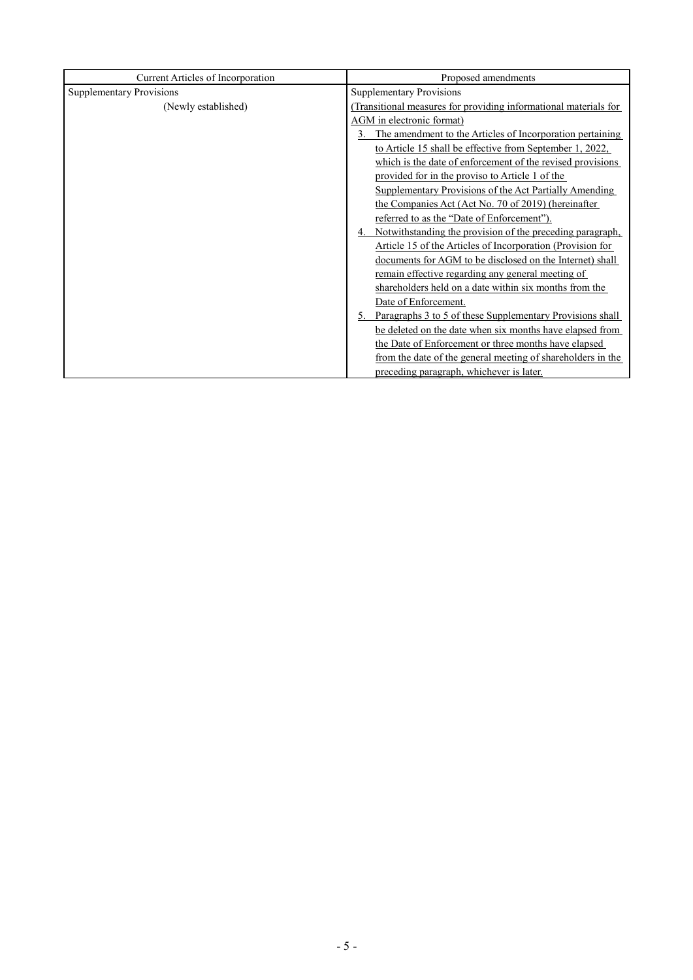| Current Articles of Incorporation | Proposed amendments                                              |  |  |
|-----------------------------------|------------------------------------------------------------------|--|--|
| <b>Supplementary Provisions</b>   | <b>Supplementary Provisions</b>                                  |  |  |
| (Newly established)               | (Transitional measures for providing informational materials for |  |  |
|                                   | AGM in electronic format)                                        |  |  |
|                                   | 3. The amendment to the Articles of Incorporation pertaining     |  |  |
|                                   | to Article 15 shall be effective from September 1, 2022,         |  |  |
|                                   | which is the date of enforcement of the revised provisions       |  |  |
|                                   | provided for in the proviso to Article 1 of the                  |  |  |
|                                   | Supplementary Provisions of the Act Partially Amending           |  |  |
|                                   | the Companies Act (Act No. 70 of 2019) (hereinafter              |  |  |
|                                   | referred to as the "Date of Enforcement").                       |  |  |
|                                   | 4. Notwithstanding the provision of the preceding paragraph,     |  |  |
|                                   | Article 15 of the Articles of Incorporation (Provision for       |  |  |
|                                   | documents for AGM to be disclosed on the Internet) shall         |  |  |
|                                   | remain effective regarding any general meeting of                |  |  |
|                                   | shareholders held on a date within six months from the           |  |  |
|                                   | Date of Enforcement.                                             |  |  |
|                                   | 5. Paragraphs 3 to 5 of these Supplementary Provisions shall     |  |  |
|                                   | be deleted on the date when six months have elapsed from         |  |  |
|                                   | the Date of Enforcement or three months have elapsed             |  |  |
|                                   | from the date of the general meeting of shareholders in the      |  |  |
|                                   | preceding paragraph, whichever is later.                         |  |  |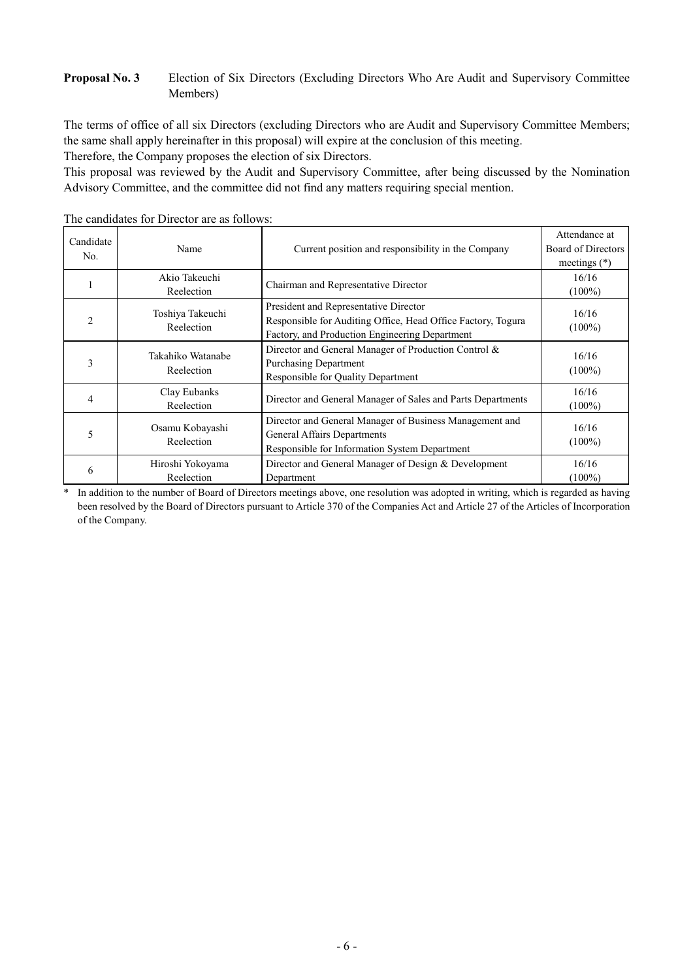## **Proposal No. 3** Election of Six Directors (Excluding Directors Who Are Audit and Supervisory Committee Members)

The terms of office of all six Directors (excluding Directors who are Audit and Supervisory Committee Members; the same shall apply hereinafter in this proposal) will expire at the conclusion of this meeting.

Therefore, the Company proposes the election of six Directors.

This proposal was reviewed by the Audit and Supervisory Committee, after being discussed by the Nomination Advisory Committee, and the committee did not find any matters requiring special mention.

| Candidate<br>No. | Name                            | Current position and responsibility in the Company                                                                                                      | Attendance at<br>Board of Directors<br>meetings $(*)$ |
|------------------|---------------------------------|---------------------------------------------------------------------------------------------------------------------------------------------------------|-------------------------------------------------------|
|                  | Akio Takeuchi<br>Reelection     | Chairman and Representative Director                                                                                                                    | 16/16<br>$(100\%)$                                    |
| $\overline{c}$   | Toshiya Takeuchi<br>Reelection  | President and Representative Director<br>Responsible for Auditing Office, Head Office Factory, Togura<br>Factory, and Production Engineering Department | 16/16<br>$(100\%)$                                    |
| 3                | Takahiko Watanabe<br>Reelection | Director and General Manager of Production Control &<br><b>Purchasing Department</b><br><b>Responsible for Quality Department</b>                       | 16/16<br>$(100\%)$                                    |
| 4                | Clay Eubanks<br>Reelection      | Director and General Manager of Sales and Parts Departments                                                                                             | 16/16<br>$(100\%)$                                    |
| 5                | Osamu Kobayashi<br>Reelection   | Director and General Manager of Business Management and<br>General Affairs Departments<br>Responsible for Information System Department                 | 16/16<br>$(100\%)$                                    |
| 6                | Hiroshi Yokoyama<br>Reelection  | Director and General Manager of Design & Development<br>Department                                                                                      | 16/16<br>$(100\%)$                                    |

The candidates for Director are as follows:

\* In addition to the number of Board of Directors meetings above, one resolution was adopted in writing, which is regarded as having been resolved by the Board of Directors pursuant to Article 370 of the Companies Act and Article 27 of the Articles of Incorporation of the Company.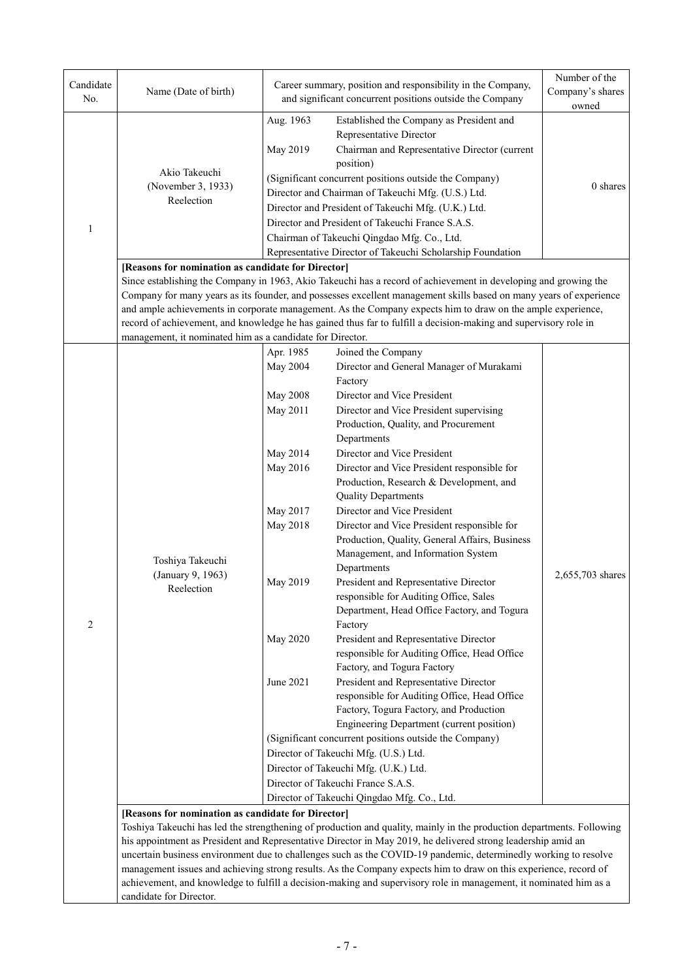| Aug. 1963<br>Established the Company as President and<br>Representative Director<br>May 2019<br>Chairman and Representative Director (current<br>position)<br>Akio Takeuchi<br>(Significant concurrent positions outside the Company)<br>(November 3, 1933)<br>0 shares<br>Director and Chairman of Takeuchi Mfg. (U.S.) Ltd.<br>Reelection<br>Director and President of Takeuchi Mfg. (U.K.) Ltd.<br>Director and President of Takeuchi France S.A.S.<br>$\mathbf{1}$<br>Chairman of Takeuchi Qingdao Mfg. Co., Ltd.<br>Representative Director of Takeuchi Scholarship Foundation<br>[Reasons for nomination as candidate for Director]<br>Since establishing the Company in 1963, Akio Takeuchi has a record of achievement in developing and growing the<br>Company for many years as its founder, and possesses excellent management skills based on many years of experience<br>and ample achievements in corporate management. As the Company expects him to draw on the ample experience,<br>record of achievement, and knowledge he has gained thus far to fulfill a decision-making and supervisory role in<br>management, it nominated him as a candidate for Director.<br>Apr. 1985<br>Joined the Company<br>May 2004<br>Director and General Manager of Murakami<br>Factory<br><b>May 2008</b><br>Director and Vice President<br>May 2011<br>Director and Vice President supervising<br>Production, Quality, and Procurement<br>Departments<br>May 2014<br>Director and Vice President<br>May 2016<br>Director and Vice President responsible for<br>Production, Research & Development, and<br><b>Quality Departments</b><br>May 2017<br>Director and Vice President<br>May 2018<br>Director and Vice President responsible for<br>Production, Quality, General Affairs, Business<br>Management, and Information System<br>Toshiya Takeuchi<br>Departments<br>(January 9, 1963)<br>2,655,703 shares<br>President and Representative Director<br>May 2019<br>Reelection<br>responsible for Auditing Office, Sales<br>Department, Head Office Factory, and Togura<br>2<br>Factory<br>May 2020<br>President and Representative Director<br>responsible for Auditing Office, Head Office<br>Factory, and Togura Factory<br>June 2021<br>President and Representative Director<br>responsible for Auditing Office, Head Office<br>Factory, Togura Factory, and Production<br>Engineering Department (current position)<br>(Significant concurrent positions outside the Company)<br>Director of Takeuchi Mfg. (U.S.) Ltd.<br>Director of Takeuchi Mfg. (U.K.) Ltd.<br>Director of Takeuchi France S.A.S.<br>Director of Takeuchi Qingdao Mfg. Co., Ltd.<br>[Reasons for nomination as candidate for Director]<br>Toshiya Takeuchi has led the strengthening of production and quality, mainly in the production departments. Following<br>his appointment as President and Representative Director in May 2019, he delivered strong leadership amid an<br>uncertain business environment due to challenges such as the COVID-19 pandemic, determinedly working to resolve<br>management issues and achieving strong results. As the Company expects him to draw on this experience, record of<br>achievement, and knowledge to fulfill a decision-making and supervisory role in management, it nominated him as a | Candidate<br>No. | Name (Date of birth)    |  | Career summary, position and responsibility in the Company,<br>and significant concurrent positions outside the Company | Number of the<br>Company's shares<br>owned |  |  |  |  |
|-----------------------------------------------------------------------------------------------------------------------------------------------------------------------------------------------------------------------------------------------------------------------------------------------------------------------------------------------------------------------------------------------------------------------------------------------------------------------------------------------------------------------------------------------------------------------------------------------------------------------------------------------------------------------------------------------------------------------------------------------------------------------------------------------------------------------------------------------------------------------------------------------------------------------------------------------------------------------------------------------------------------------------------------------------------------------------------------------------------------------------------------------------------------------------------------------------------------------------------------------------------------------------------------------------------------------------------------------------------------------------------------------------------------------------------------------------------------------------------------------------------------------------------------------------------------------------------------------------------------------------------------------------------------------------------------------------------------------------------------------------------------------------------------------------------------------------------------------------------------------------------------------------------------------------------------------------------------------------------------------------------------------------------------------------------------------------------------------------------------------------------------------------------------------------------------------------------------------------------------------------------------------------------------------------------------------------------------------------------------------------------------------------------------------------------------------------------------------------------------------------------------------------------------------------------------------------------------------------------------------------------------------------------------------------------------------------------------------------------------------------------------------------------------------------------------------------------------------------------------------------------------------------------------------------------------------------------------------------------------------------------------------------------------------------------------------------------------------------------------------------------------------------------------------------------------------------------------------------------------------------------------------------------------------------------------------------|------------------|-------------------------|--|-------------------------------------------------------------------------------------------------------------------------|--------------------------------------------|--|--|--|--|
|                                                                                                                                                                                                                                                                                                                                                                                                                                                                                                                                                                                                                                                                                                                                                                                                                                                                                                                                                                                                                                                                                                                                                                                                                                                                                                                                                                                                                                                                                                                                                                                                                                                                                                                                                                                                                                                                                                                                                                                                                                                                                                                                                                                                                                                                                                                                                                                                                                                                                                                                                                                                                                                                                                                                                                                                                                                                                                                                                                                                                                                                                                                                                                                                                                                                                                                             |                  |                         |  |                                                                                                                         |                                            |  |  |  |  |
|                                                                                                                                                                                                                                                                                                                                                                                                                                                                                                                                                                                                                                                                                                                                                                                                                                                                                                                                                                                                                                                                                                                                                                                                                                                                                                                                                                                                                                                                                                                                                                                                                                                                                                                                                                                                                                                                                                                                                                                                                                                                                                                                                                                                                                                                                                                                                                                                                                                                                                                                                                                                                                                                                                                                                                                                                                                                                                                                                                                                                                                                                                                                                                                                                                                                                                                             |                  |                         |  |                                                                                                                         |                                            |  |  |  |  |
|                                                                                                                                                                                                                                                                                                                                                                                                                                                                                                                                                                                                                                                                                                                                                                                                                                                                                                                                                                                                                                                                                                                                                                                                                                                                                                                                                                                                                                                                                                                                                                                                                                                                                                                                                                                                                                                                                                                                                                                                                                                                                                                                                                                                                                                                                                                                                                                                                                                                                                                                                                                                                                                                                                                                                                                                                                                                                                                                                                                                                                                                                                                                                                                                                                                                                                                             |                  |                         |  |                                                                                                                         |                                            |  |  |  |  |
|                                                                                                                                                                                                                                                                                                                                                                                                                                                                                                                                                                                                                                                                                                                                                                                                                                                                                                                                                                                                                                                                                                                                                                                                                                                                                                                                                                                                                                                                                                                                                                                                                                                                                                                                                                                                                                                                                                                                                                                                                                                                                                                                                                                                                                                                                                                                                                                                                                                                                                                                                                                                                                                                                                                                                                                                                                                                                                                                                                                                                                                                                                                                                                                                                                                                                                                             |                  |                         |  |                                                                                                                         |                                            |  |  |  |  |
|                                                                                                                                                                                                                                                                                                                                                                                                                                                                                                                                                                                                                                                                                                                                                                                                                                                                                                                                                                                                                                                                                                                                                                                                                                                                                                                                                                                                                                                                                                                                                                                                                                                                                                                                                                                                                                                                                                                                                                                                                                                                                                                                                                                                                                                                                                                                                                                                                                                                                                                                                                                                                                                                                                                                                                                                                                                                                                                                                                                                                                                                                                                                                                                                                                                                                                                             |                  |                         |  |                                                                                                                         |                                            |  |  |  |  |
|                                                                                                                                                                                                                                                                                                                                                                                                                                                                                                                                                                                                                                                                                                                                                                                                                                                                                                                                                                                                                                                                                                                                                                                                                                                                                                                                                                                                                                                                                                                                                                                                                                                                                                                                                                                                                                                                                                                                                                                                                                                                                                                                                                                                                                                                                                                                                                                                                                                                                                                                                                                                                                                                                                                                                                                                                                                                                                                                                                                                                                                                                                                                                                                                                                                                                                                             |                  |                         |  |                                                                                                                         |                                            |  |  |  |  |
|                                                                                                                                                                                                                                                                                                                                                                                                                                                                                                                                                                                                                                                                                                                                                                                                                                                                                                                                                                                                                                                                                                                                                                                                                                                                                                                                                                                                                                                                                                                                                                                                                                                                                                                                                                                                                                                                                                                                                                                                                                                                                                                                                                                                                                                                                                                                                                                                                                                                                                                                                                                                                                                                                                                                                                                                                                                                                                                                                                                                                                                                                                                                                                                                                                                                                                                             |                  |                         |  |                                                                                                                         |                                            |  |  |  |  |
|                                                                                                                                                                                                                                                                                                                                                                                                                                                                                                                                                                                                                                                                                                                                                                                                                                                                                                                                                                                                                                                                                                                                                                                                                                                                                                                                                                                                                                                                                                                                                                                                                                                                                                                                                                                                                                                                                                                                                                                                                                                                                                                                                                                                                                                                                                                                                                                                                                                                                                                                                                                                                                                                                                                                                                                                                                                                                                                                                                                                                                                                                                                                                                                                                                                                                                                             |                  |                         |  |                                                                                                                         |                                            |  |  |  |  |
|                                                                                                                                                                                                                                                                                                                                                                                                                                                                                                                                                                                                                                                                                                                                                                                                                                                                                                                                                                                                                                                                                                                                                                                                                                                                                                                                                                                                                                                                                                                                                                                                                                                                                                                                                                                                                                                                                                                                                                                                                                                                                                                                                                                                                                                                                                                                                                                                                                                                                                                                                                                                                                                                                                                                                                                                                                                                                                                                                                                                                                                                                                                                                                                                                                                                                                                             |                  |                         |  |                                                                                                                         |                                            |  |  |  |  |
|                                                                                                                                                                                                                                                                                                                                                                                                                                                                                                                                                                                                                                                                                                                                                                                                                                                                                                                                                                                                                                                                                                                                                                                                                                                                                                                                                                                                                                                                                                                                                                                                                                                                                                                                                                                                                                                                                                                                                                                                                                                                                                                                                                                                                                                                                                                                                                                                                                                                                                                                                                                                                                                                                                                                                                                                                                                                                                                                                                                                                                                                                                                                                                                                                                                                                                                             |                  |                         |  |                                                                                                                         |                                            |  |  |  |  |
|                                                                                                                                                                                                                                                                                                                                                                                                                                                                                                                                                                                                                                                                                                                                                                                                                                                                                                                                                                                                                                                                                                                                                                                                                                                                                                                                                                                                                                                                                                                                                                                                                                                                                                                                                                                                                                                                                                                                                                                                                                                                                                                                                                                                                                                                                                                                                                                                                                                                                                                                                                                                                                                                                                                                                                                                                                                                                                                                                                                                                                                                                                                                                                                                                                                                                                                             |                  |                         |  |                                                                                                                         |                                            |  |  |  |  |
|                                                                                                                                                                                                                                                                                                                                                                                                                                                                                                                                                                                                                                                                                                                                                                                                                                                                                                                                                                                                                                                                                                                                                                                                                                                                                                                                                                                                                                                                                                                                                                                                                                                                                                                                                                                                                                                                                                                                                                                                                                                                                                                                                                                                                                                                                                                                                                                                                                                                                                                                                                                                                                                                                                                                                                                                                                                                                                                                                                                                                                                                                                                                                                                                                                                                                                                             |                  |                         |  |                                                                                                                         |                                            |  |  |  |  |
|                                                                                                                                                                                                                                                                                                                                                                                                                                                                                                                                                                                                                                                                                                                                                                                                                                                                                                                                                                                                                                                                                                                                                                                                                                                                                                                                                                                                                                                                                                                                                                                                                                                                                                                                                                                                                                                                                                                                                                                                                                                                                                                                                                                                                                                                                                                                                                                                                                                                                                                                                                                                                                                                                                                                                                                                                                                                                                                                                                                                                                                                                                                                                                                                                                                                                                                             |                  |                         |  |                                                                                                                         |                                            |  |  |  |  |
|                                                                                                                                                                                                                                                                                                                                                                                                                                                                                                                                                                                                                                                                                                                                                                                                                                                                                                                                                                                                                                                                                                                                                                                                                                                                                                                                                                                                                                                                                                                                                                                                                                                                                                                                                                                                                                                                                                                                                                                                                                                                                                                                                                                                                                                                                                                                                                                                                                                                                                                                                                                                                                                                                                                                                                                                                                                                                                                                                                                                                                                                                                                                                                                                                                                                                                                             |                  |                         |  |                                                                                                                         |                                            |  |  |  |  |
|                                                                                                                                                                                                                                                                                                                                                                                                                                                                                                                                                                                                                                                                                                                                                                                                                                                                                                                                                                                                                                                                                                                                                                                                                                                                                                                                                                                                                                                                                                                                                                                                                                                                                                                                                                                                                                                                                                                                                                                                                                                                                                                                                                                                                                                                                                                                                                                                                                                                                                                                                                                                                                                                                                                                                                                                                                                                                                                                                                                                                                                                                                                                                                                                                                                                                                                             |                  |                         |  |                                                                                                                         |                                            |  |  |  |  |
|                                                                                                                                                                                                                                                                                                                                                                                                                                                                                                                                                                                                                                                                                                                                                                                                                                                                                                                                                                                                                                                                                                                                                                                                                                                                                                                                                                                                                                                                                                                                                                                                                                                                                                                                                                                                                                                                                                                                                                                                                                                                                                                                                                                                                                                                                                                                                                                                                                                                                                                                                                                                                                                                                                                                                                                                                                                                                                                                                                                                                                                                                                                                                                                                                                                                                                                             |                  |                         |  |                                                                                                                         |                                            |  |  |  |  |
|                                                                                                                                                                                                                                                                                                                                                                                                                                                                                                                                                                                                                                                                                                                                                                                                                                                                                                                                                                                                                                                                                                                                                                                                                                                                                                                                                                                                                                                                                                                                                                                                                                                                                                                                                                                                                                                                                                                                                                                                                                                                                                                                                                                                                                                                                                                                                                                                                                                                                                                                                                                                                                                                                                                                                                                                                                                                                                                                                                                                                                                                                                                                                                                                                                                                                                                             |                  |                         |  |                                                                                                                         |                                            |  |  |  |  |
|                                                                                                                                                                                                                                                                                                                                                                                                                                                                                                                                                                                                                                                                                                                                                                                                                                                                                                                                                                                                                                                                                                                                                                                                                                                                                                                                                                                                                                                                                                                                                                                                                                                                                                                                                                                                                                                                                                                                                                                                                                                                                                                                                                                                                                                                                                                                                                                                                                                                                                                                                                                                                                                                                                                                                                                                                                                                                                                                                                                                                                                                                                                                                                                                                                                                                                                             |                  |                         |  |                                                                                                                         |                                            |  |  |  |  |
|                                                                                                                                                                                                                                                                                                                                                                                                                                                                                                                                                                                                                                                                                                                                                                                                                                                                                                                                                                                                                                                                                                                                                                                                                                                                                                                                                                                                                                                                                                                                                                                                                                                                                                                                                                                                                                                                                                                                                                                                                                                                                                                                                                                                                                                                                                                                                                                                                                                                                                                                                                                                                                                                                                                                                                                                                                                                                                                                                                                                                                                                                                                                                                                                                                                                                                                             |                  |                         |  |                                                                                                                         |                                            |  |  |  |  |
|                                                                                                                                                                                                                                                                                                                                                                                                                                                                                                                                                                                                                                                                                                                                                                                                                                                                                                                                                                                                                                                                                                                                                                                                                                                                                                                                                                                                                                                                                                                                                                                                                                                                                                                                                                                                                                                                                                                                                                                                                                                                                                                                                                                                                                                                                                                                                                                                                                                                                                                                                                                                                                                                                                                                                                                                                                                                                                                                                                                                                                                                                                                                                                                                                                                                                                                             |                  |                         |  |                                                                                                                         |                                            |  |  |  |  |
|                                                                                                                                                                                                                                                                                                                                                                                                                                                                                                                                                                                                                                                                                                                                                                                                                                                                                                                                                                                                                                                                                                                                                                                                                                                                                                                                                                                                                                                                                                                                                                                                                                                                                                                                                                                                                                                                                                                                                                                                                                                                                                                                                                                                                                                                                                                                                                                                                                                                                                                                                                                                                                                                                                                                                                                                                                                                                                                                                                                                                                                                                                                                                                                                                                                                                                                             |                  |                         |  |                                                                                                                         |                                            |  |  |  |  |
|                                                                                                                                                                                                                                                                                                                                                                                                                                                                                                                                                                                                                                                                                                                                                                                                                                                                                                                                                                                                                                                                                                                                                                                                                                                                                                                                                                                                                                                                                                                                                                                                                                                                                                                                                                                                                                                                                                                                                                                                                                                                                                                                                                                                                                                                                                                                                                                                                                                                                                                                                                                                                                                                                                                                                                                                                                                                                                                                                                                                                                                                                                                                                                                                                                                                                                                             |                  |                         |  |                                                                                                                         |                                            |  |  |  |  |
|                                                                                                                                                                                                                                                                                                                                                                                                                                                                                                                                                                                                                                                                                                                                                                                                                                                                                                                                                                                                                                                                                                                                                                                                                                                                                                                                                                                                                                                                                                                                                                                                                                                                                                                                                                                                                                                                                                                                                                                                                                                                                                                                                                                                                                                                                                                                                                                                                                                                                                                                                                                                                                                                                                                                                                                                                                                                                                                                                                                                                                                                                                                                                                                                                                                                                                                             |                  |                         |  |                                                                                                                         |                                            |  |  |  |  |
|                                                                                                                                                                                                                                                                                                                                                                                                                                                                                                                                                                                                                                                                                                                                                                                                                                                                                                                                                                                                                                                                                                                                                                                                                                                                                                                                                                                                                                                                                                                                                                                                                                                                                                                                                                                                                                                                                                                                                                                                                                                                                                                                                                                                                                                                                                                                                                                                                                                                                                                                                                                                                                                                                                                                                                                                                                                                                                                                                                                                                                                                                                                                                                                                                                                                                                                             |                  |                         |  |                                                                                                                         |                                            |  |  |  |  |
|                                                                                                                                                                                                                                                                                                                                                                                                                                                                                                                                                                                                                                                                                                                                                                                                                                                                                                                                                                                                                                                                                                                                                                                                                                                                                                                                                                                                                                                                                                                                                                                                                                                                                                                                                                                                                                                                                                                                                                                                                                                                                                                                                                                                                                                                                                                                                                                                                                                                                                                                                                                                                                                                                                                                                                                                                                                                                                                                                                                                                                                                                                                                                                                                                                                                                                                             |                  |                         |  |                                                                                                                         |                                            |  |  |  |  |
|                                                                                                                                                                                                                                                                                                                                                                                                                                                                                                                                                                                                                                                                                                                                                                                                                                                                                                                                                                                                                                                                                                                                                                                                                                                                                                                                                                                                                                                                                                                                                                                                                                                                                                                                                                                                                                                                                                                                                                                                                                                                                                                                                                                                                                                                                                                                                                                                                                                                                                                                                                                                                                                                                                                                                                                                                                                                                                                                                                                                                                                                                                                                                                                                                                                                                                                             |                  |                         |  |                                                                                                                         |                                            |  |  |  |  |
|                                                                                                                                                                                                                                                                                                                                                                                                                                                                                                                                                                                                                                                                                                                                                                                                                                                                                                                                                                                                                                                                                                                                                                                                                                                                                                                                                                                                                                                                                                                                                                                                                                                                                                                                                                                                                                                                                                                                                                                                                                                                                                                                                                                                                                                                                                                                                                                                                                                                                                                                                                                                                                                                                                                                                                                                                                                                                                                                                                                                                                                                                                                                                                                                                                                                                                                             |                  |                         |  |                                                                                                                         |                                            |  |  |  |  |
|                                                                                                                                                                                                                                                                                                                                                                                                                                                                                                                                                                                                                                                                                                                                                                                                                                                                                                                                                                                                                                                                                                                                                                                                                                                                                                                                                                                                                                                                                                                                                                                                                                                                                                                                                                                                                                                                                                                                                                                                                                                                                                                                                                                                                                                                                                                                                                                                                                                                                                                                                                                                                                                                                                                                                                                                                                                                                                                                                                                                                                                                                                                                                                                                                                                                                                                             |                  |                         |  |                                                                                                                         |                                            |  |  |  |  |
|                                                                                                                                                                                                                                                                                                                                                                                                                                                                                                                                                                                                                                                                                                                                                                                                                                                                                                                                                                                                                                                                                                                                                                                                                                                                                                                                                                                                                                                                                                                                                                                                                                                                                                                                                                                                                                                                                                                                                                                                                                                                                                                                                                                                                                                                                                                                                                                                                                                                                                                                                                                                                                                                                                                                                                                                                                                                                                                                                                                                                                                                                                                                                                                                                                                                                                                             |                  |                         |  |                                                                                                                         |                                            |  |  |  |  |
|                                                                                                                                                                                                                                                                                                                                                                                                                                                                                                                                                                                                                                                                                                                                                                                                                                                                                                                                                                                                                                                                                                                                                                                                                                                                                                                                                                                                                                                                                                                                                                                                                                                                                                                                                                                                                                                                                                                                                                                                                                                                                                                                                                                                                                                                                                                                                                                                                                                                                                                                                                                                                                                                                                                                                                                                                                                                                                                                                                                                                                                                                                                                                                                                                                                                                                                             |                  |                         |  |                                                                                                                         |                                            |  |  |  |  |
|                                                                                                                                                                                                                                                                                                                                                                                                                                                                                                                                                                                                                                                                                                                                                                                                                                                                                                                                                                                                                                                                                                                                                                                                                                                                                                                                                                                                                                                                                                                                                                                                                                                                                                                                                                                                                                                                                                                                                                                                                                                                                                                                                                                                                                                                                                                                                                                                                                                                                                                                                                                                                                                                                                                                                                                                                                                                                                                                                                                                                                                                                                                                                                                                                                                                                                                             |                  |                         |  |                                                                                                                         |                                            |  |  |  |  |
|                                                                                                                                                                                                                                                                                                                                                                                                                                                                                                                                                                                                                                                                                                                                                                                                                                                                                                                                                                                                                                                                                                                                                                                                                                                                                                                                                                                                                                                                                                                                                                                                                                                                                                                                                                                                                                                                                                                                                                                                                                                                                                                                                                                                                                                                                                                                                                                                                                                                                                                                                                                                                                                                                                                                                                                                                                                                                                                                                                                                                                                                                                                                                                                                                                                                                                                             |                  |                         |  |                                                                                                                         |                                            |  |  |  |  |
|                                                                                                                                                                                                                                                                                                                                                                                                                                                                                                                                                                                                                                                                                                                                                                                                                                                                                                                                                                                                                                                                                                                                                                                                                                                                                                                                                                                                                                                                                                                                                                                                                                                                                                                                                                                                                                                                                                                                                                                                                                                                                                                                                                                                                                                                                                                                                                                                                                                                                                                                                                                                                                                                                                                                                                                                                                                                                                                                                                                                                                                                                                                                                                                                                                                                                                                             |                  |                         |  |                                                                                                                         |                                            |  |  |  |  |
|                                                                                                                                                                                                                                                                                                                                                                                                                                                                                                                                                                                                                                                                                                                                                                                                                                                                                                                                                                                                                                                                                                                                                                                                                                                                                                                                                                                                                                                                                                                                                                                                                                                                                                                                                                                                                                                                                                                                                                                                                                                                                                                                                                                                                                                                                                                                                                                                                                                                                                                                                                                                                                                                                                                                                                                                                                                                                                                                                                                                                                                                                                                                                                                                                                                                                                                             |                  |                         |  |                                                                                                                         |                                            |  |  |  |  |
|                                                                                                                                                                                                                                                                                                                                                                                                                                                                                                                                                                                                                                                                                                                                                                                                                                                                                                                                                                                                                                                                                                                                                                                                                                                                                                                                                                                                                                                                                                                                                                                                                                                                                                                                                                                                                                                                                                                                                                                                                                                                                                                                                                                                                                                                                                                                                                                                                                                                                                                                                                                                                                                                                                                                                                                                                                                                                                                                                                                                                                                                                                                                                                                                                                                                                                                             |                  |                         |  |                                                                                                                         |                                            |  |  |  |  |
|                                                                                                                                                                                                                                                                                                                                                                                                                                                                                                                                                                                                                                                                                                                                                                                                                                                                                                                                                                                                                                                                                                                                                                                                                                                                                                                                                                                                                                                                                                                                                                                                                                                                                                                                                                                                                                                                                                                                                                                                                                                                                                                                                                                                                                                                                                                                                                                                                                                                                                                                                                                                                                                                                                                                                                                                                                                                                                                                                                                                                                                                                                                                                                                                                                                                                                                             |                  |                         |  |                                                                                                                         |                                            |  |  |  |  |
|                                                                                                                                                                                                                                                                                                                                                                                                                                                                                                                                                                                                                                                                                                                                                                                                                                                                                                                                                                                                                                                                                                                                                                                                                                                                                                                                                                                                                                                                                                                                                                                                                                                                                                                                                                                                                                                                                                                                                                                                                                                                                                                                                                                                                                                                                                                                                                                                                                                                                                                                                                                                                                                                                                                                                                                                                                                                                                                                                                                                                                                                                                                                                                                                                                                                                                                             |                  |                         |  |                                                                                                                         |                                            |  |  |  |  |
|                                                                                                                                                                                                                                                                                                                                                                                                                                                                                                                                                                                                                                                                                                                                                                                                                                                                                                                                                                                                                                                                                                                                                                                                                                                                                                                                                                                                                                                                                                                                                                                                                                                                                                                                                                                                                                                                                                                                                                                                                                                                                                                                                                                                                                                                                                                                                                                                                                                                                                                                                                                                                                                                                                                                                                                                                                                                                                                                                                                                                                                                                                                                                                                                                                                                                                                             |                  |                         |  |                                                                                                                         |                                            |  |  |  |  |
|                                                                                                                                                                                                                                                                                                                                                                                                                                                                                                                                                                                                                                                                                                                                                                                                                                                                                                                                                                                                                                                                                                                                                                                                                                                                                                                                                                                                                                                                                                                                                                                                                                                                                                                                                                                                                                                                                                                                                                                                                                                                                                                                                                                                                                                                                                                                                                                                                                                                                                                                                                                                                                                                                                                                                                                                                                                                                                                                                                                                                                                                                                                                                                                                                                                                                                                             |                  |                         |  |                                                                                                                         |                                            |  |  |  |  |
|                                                                                                                                                                                                                                                                                                                                                                                                                                                                                                                                                                                                                                                                                                                                                                                                                                                                                                                                                                                                                                                                                                                                                                                                                                                                                                                                                                                                                                                                                                                                                                                                                                                                                                                                                                                                                                                                                                                                                                                                                                                                                                                                                                                                                                                                                                                                                                                                                                                                                                                                                                                                                                                                                                                                                                                                                                                                                                                                                                                                                                                                                                                                                                                                                                                                                                                             |                  |                         |  |                                                                                                                         |                                            |  |  |  |  |
|                                                                                                                                                                                                                                                                                                                                                                                                                                                                                                                                                                                                                                                                                                                                                                                                                                                                                                                                                                                                                                                                                                                                                                                                                                                                                                                                                                                                                                                                                                                                                                                                                                                                                                                                                                                                                                                                                                                                                                                                                                                                                                                                                                                                                                                                                                                                                                                                                                                                                                                                                                                                                                                                                                                                                                                                                                                                                                                                                                                                                                                                                                                                                                                                                                                                                                                             |                  |                         |  |                                                                                                                         |                                            |  |  |  |  |
|                                                                                                                                                                                                                                                                                                                                                                                                                                                                                                                                                                                                                                                                                                                                                                                                                                                                                                                                                                                                                                                                                                                                                                                                                                                                                                                                                                                                                                                                                                                                                                                                                                                                                                                                                                                                                                                                                                                                                                                                                                                                                                                                                                                                                                                                                                                                                                                                                                                                                                                                                                                                                                                                                                                                                                                                                                                                                                                                                                                                                                                                                                                                                                                                                                                                                                                             |                  |                         |  |                                                                                                                         |                                            |  |  |  |  |
|                                                                                                                                                                                                                                                                                                                                                                                                                                                                                                                                                                                                                                                                                                                                                                                                                                                                                                                                                                                                                                                                                                                                                                                                                                                                                                                                                                                                                                                                                                                                                                                                                                                                                                                                                                                                                                                                                                                                                                                                                                                                                                                                                                                                                                                                                                                                                                                                                                                                                                                                                                                                                                                                                                                                                                                                                                                                                                                                                                                                                                                                                                                                                                                                                                                                                                                             |                  |                         |  |                                                                                                                         |                                            |  |  |  |  |
|                                                                                                                                                                                                                                                                                                                                                                                                                                                                                                                                                                                                                                                                                                                                                                                                                                                                                                                                                                                                                                                                                                                                                                                                                                                                                                                                                                                                                                                                                                                                                                                                                                                                                                                                                                                                                                                                                                                                                                                                                                                                                                                                                                                                                                                                                                                                                                                                                                                                                                                                                                                                                                                                                                                                                                                                                                                                                                                                                                                                                                                                                                                                                                                                                                                                                                                             |                  |                         |  |                                                                                                                         |                                            |  |  |  |  |
|                                                                                                                                                                                                                                                                                                                                                                                                                                                                                                                                                                                                                                                                                                                                                                                                                                                                                                                                                                                                                                                                                                                                                                                                                                                                                                                                                                                                                                                                                                                                                                                                                                                                                                                                                                                                                                                                                                                                                                                                                                                                                                                                                                                                                                                                                                                                                                                                                                                                                                                                                                                                                                                                                                                                                                                                                                                                                                                                                                                                                                                                                                                                                                                                                                                                                                                             |                  |                         |  |                                                                                                                         |                                            |  |  |  |  |
|                                                                                                                                                                                                                                                                                                                                                                                                                                                                                                                                                                                                                                                                                                                                                                                                                                                                                                                                                                                                                                                                                                                                                                                                                                                                                                                                                                                                                                                                                                                                                                                                                                                                                                                                                                                                                                                                                                                                                                                                                                                                                                                                                                                                                                                                                                                                                                                                                                                                                                                                                                                                                                                                                                                                                                                                                                                                                                                                                                                                                                                                                                                                                                                                                                                                                                                             |                  | candidate for Director. |  |                                                                                                                         |                                            |  |  |  |  |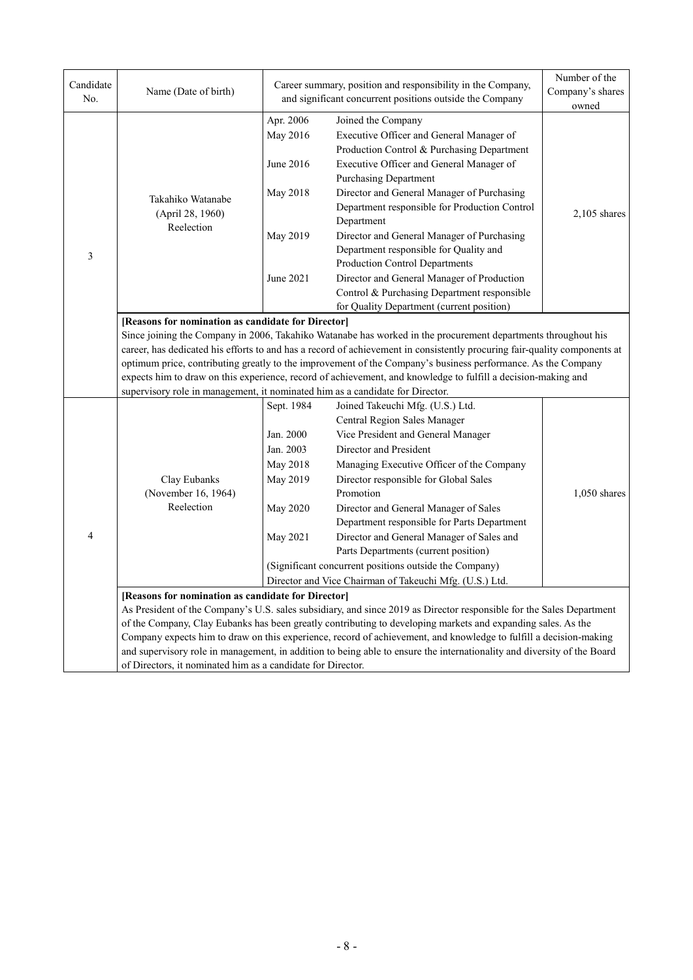| Candidate<br>No. | Name (Date of birth)                                                                                                                                                                                                                                                                                                                                                                                                                                                                                                                                                                                               |                                                                                      | Career summary, position and responsibility in the Company,<br>and significant concurrent positions outside the Company                                                                                                                                                                                                                                                                                                                                                                                                               | Number of the<br>Company's shares<br>owned |  |  |  |
|------------------|--------------------------------------------------------------------------------------------------------------------------------------------------------------------------------------------------------------------------------------------------------------------------------------------------------------------------------------------------------------------------------------------------------------------------------------------------------------------------------------------------------------------------------------------------------------------------------------------------------------------|--------------------------------------------------------------------------------------|---------------------------------------------------------------------------------------------------------------------------------------------------------------------------------------------------------------------------------------------------------------------------------------------------------------------------------------------------------------------------------------------------------------------------------------------------------------------------------------------------------------------------------------|--------------------------------------------|--|--|--|
|                  |                                                                                                                                                                                                                                                                                                                                                                                                                                                                                                                                                                                                                    | Apr. 2006<br>May 2016<br>June 2016                                                   | Joined the Company<br>Executive Officer and General Manager of<br>Production Control & Purchasing Department<br>Executive Officer and General Manager of                                                                                                                                                                                                                                                                                                                                                                              |                                            |  |  |  |
|                  | Takahiko Watanabe<br>(April 28, 1960)<br>Reelection                                                                                                                                                                                                                                                                                                                                                                                                                                                                                                                                                                | May 2018                                                                             | <b>Purchasing Department</b><br>Director and General Manager of Purchasing<br>Department responsible for Production Control<br>Department                                                                                                                                                                                                                                                                                                                                                                                             |                                            |  |  |  |
| 3                |                                                                                                                                                                                                                                                                                                                                                                                                                                                                                                                                                                                                                    | May 2019                                                                             | Director and General Manager of Purchasing<br>Department responsible for Quality and<br>Production Control Departments                                                                                                                                                                                                                                                                                                                                                                                                                |                                            |  |  |  |
|                  |                                                                                                                                                                                                                                                                                                                                                                                                                                                                                                                                                                                                                    | June 2021                                                                            | Director and General Manager of Production<br>Control & Purchasing Department responsible<br>for Quality Department (current position)                                                                                                                                                                                                                                                                                                                                                                                                |                                            |  |  |  |
|                  | [Reasons for nomination as candidate for Director]<br>Since joining the Company in 2006, Takahiko Watanabe has worked in the procurement departments throughout his<br>career, has dedicated his efforts to and has a record of achievement in consistently procuring fair-quality components at<br>optimum price, contributing greatly to the improvement of the Company's business performance. As the Company<br>expects him to draw on this experience, record of achievement, and knowledge to fulfill a decision-making and<br>supervisory role in management, it nominated him as a candidate for Director. |                                                                                      |                                                                                                                                                                                                                                                                                                                                                                                                                                                                                                                                       |                                            |  |  |  |
| 4                | Clay Eubanks<br>(November 16, 1964)<br>Reelection                                                                                                                                                                                                                                                                                                                                                                                                                                                                                                                                                                  | Sept. 1984<br>Jan. 2000<br>Jan. 2003<br>May 2018<br>May 2019<br>May 2020<br>May 2021 | Joined Takeuchi Mfg. (U.S.) Ltd.<br>Central Region Sales Manager<br>Vice President and General Manager<br>Director and President<br>Managing Executive Officer of the Company<br>Director responsible for Global Sales<br>Promotion<br>Director and General Manager of Sales<br>Department responsible for Parts Department<br>Director and General Manager of Sales and<br>Parts Departments (current position)<br>(Significant concurrent positions outside the Company)<br>Director and Vice Chairman of Takeuchi Mfg. (U.S.) Ltd. | $1,050$ shares                             |  |  |  |
|                  | [Reasons for nomination as candidate for Director]<br>As President of the Company's U.S. sales subsidiary, and since 2019 as Director responsible for the Sales Department<br>of the Company, Clay Eubanks has been greatly contributing to developing markets and expanding sales. As the<br>Company expects him to draw on this experience, record of achievement, and knowledge to fulfill a decision-making<br>and supervisory role in management, in addition to being able to ensure the internationality and diversity of the Board<br>of Directors, it nominated him as a candidate for Director.          |                                                                                      |                                                                                                                                                                                                                                                                                                                                                                                                                                                                                                                                       |                                            |  |  |  |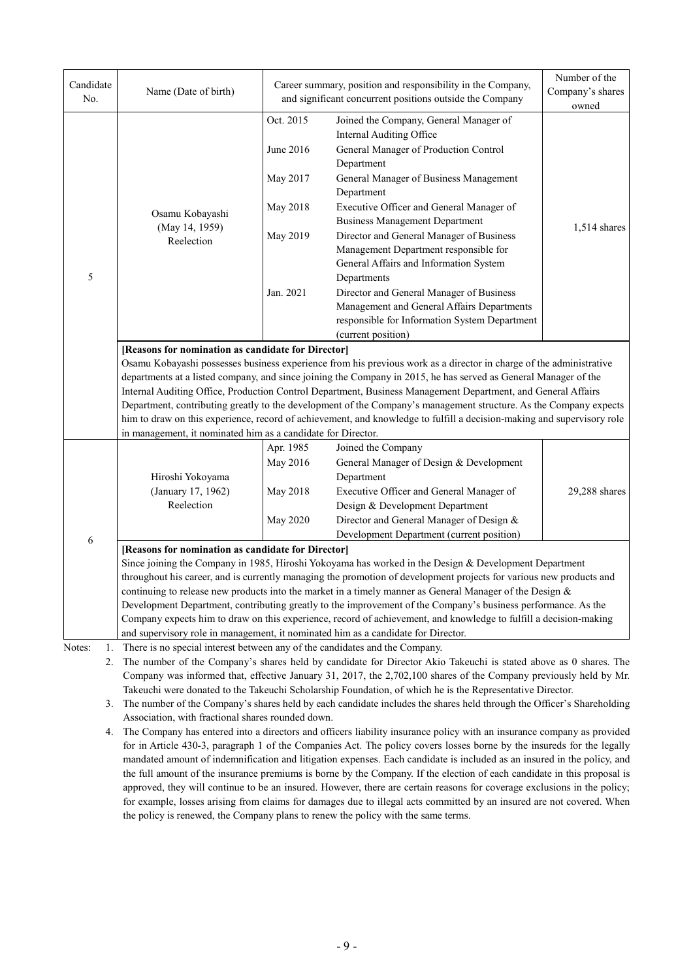| Candidate<br>No.   | Name (Date of birth)                                                                                                                                                                                                                                                                                                                                                                                                                                                                                                                                                                                                                                                                                                                             |                                                                         | Career summary, position and responsibility in the Company,<br>and significant concurrent positions outside the Company                                                                                                                                                                                                                                                                                                                                                                                                                                         | Number of the<br>Company's shares |  |  |  |
|--------------------|--------------------------------------------------------------------------------------------------------------------------------------------------------------------------------------------------------------------------------------------------------------------------------------------------------------------------------------------------------------------------------------------------------------------------------------------------------------------------------------------------------------------------------------------------------------------------------------------------------------------------------------------------------------------------------------------------------------------------------------------------|-------------------------------------------------------------------------|-----------------------------------------------------------------------------------------------------------------------------------------------------------------------------------------------------------------------------------------------------------------------------------------------------------------------------------------------------------------------------------------------------------------------------------------------------------------------------------------------------------------------------------------------------------------|-----------------------------------|--|--|--|
| 5                  | Osamu Kobayashi<br>(May 14, 1959)<br>Reelection                                                                                                                                                                                                                                                                                                                                                                                                                                                                                                                                                                                                                                                                                                  | Oct. 2015<br>June 2016<br>May 2017<br>May 2018<br>May 2019<br>Jan. 2021 | Joined the Company, General Manager of<br>Internal Auditing Office<br>General Manager of Production Control<br>Department<br>General Manager of Business Management<br>Department<br>Executive Officer and General Manager of<br><b>Business Management Department</b><br>Director and General Manager of Business<br>Management Department responsible for<br>General Affairs and Information System<br>Departments<br>Director and General Manager of Business<br>Management and General Affairs Departments<br>responsible for Information System Department | owned<br>$1,514$ shares           |  |  |  |
|                    | (current position)<br>[Reasons for nomination as candidate for Director]<br>Osamu Kobayashi possesses business experience from his previous work as a director in charge of the administrative<br>departments at a listed company, and since joining the Company in 2015, he has served as General Manager of the<br>Internal Auditing Office, Production Control Department, Business Management Department, and General Affairs<br>Department, contributing greatly to the development of the Company's management structure. As the Company expects<br>him to draw on this experience, record of achievement, and knowledge to fulfill a decision-making and supervisory role<br>in management, it nominated him as a candidate for Director. |                                                                         |                                                                                                                                                                                                                                                                                                                                                                                                                                                                                                                                                                 |                                   |  |  |  |
|                    | Hiroshi Yokoyama<br>(January 17, 1962)<br>Reelection                                                                                                                                                                                                                                                                                                                                                                                                                                                                                                                                                                                                                                                                                             | Apr. 1985<br>May 2016<br>May 2018<br>May 2020                           | Joined the Company<br>General Manager of Design & Development<br>Department<br>Executive Officer and General Manager of<br>Design & Development Department<br>Director and General Manager of Design &<br>Development Department (current position)                                                                                                                                                                                                                                                                                                             | 29,288 shares                     |  |  |  |
| 6                  | [Reasons for nomination as candidate for Director]<br>Since joining the Company in 1985, Hiroshi Yokoyama has worked in the Design & Development Department<br>throughout his career, and is currently managing the promotion of development projects for various new products and<br>continuing to release new products into the market in a timely manner as General Manager of the Design &<br>Development Department, contributing greatly to the improvement of the Company's business performance. As the<br>Company expects him to draw on this experience, record of achievement, and knowledge to fulfill a decision-making                                                                                                             |                                                                         |                                                                                                                                                                                                                                                                                                                                                                                                                                                                                                                                                                 |                                   |  |  |  |
| Notes:<br>1.<br>2. | and supervisory role in management, it nominated him as a candidate for Director.<br>There is no special interest between any of the candidates and the Company.<br>The number of the Company's shares held by candidate for Director Akio Takeuchi is stated above as 0 shares. The<br>Company was informed that, effective January 31, 2017, the 2,702,100 shares of the Company previously held by Mr.<br>Takeuchi were donated to the Takeuchi Scholarship Foundation, of which he is the Representative Director.<br>3. The number of the Company's shares held by each candidate includes the shares held through the Officer's Shareholding<br>Association, with fractional shares rounded down.                                          |                                                                         |                                                                                                                                                                                                                                                                                                                                                                                                                                                                                                                                                                 |                                   |  |  |  |

4. The Company has entered into a directors and officers liability insurance policy with an insurance company as provided for in Article 430-3, paragraph 1 of the Companies Act. The policy covers losses borne by the insureds for the legally mandated amount of indemnification and litigation expenses. Each candidate is included as an insured in the policy, and the full amount of the insurance premiums is borne by the Company. If the election of each candidate in this proposal is approved, they will continue to be an insured. However, there are certain reasons for coverage exclusions in the policy; for example, losses arising from claims for damages due to illegal acts committed by an insured are not covered. When the policy is renewed, the Company plans to renew the policy with the same terms.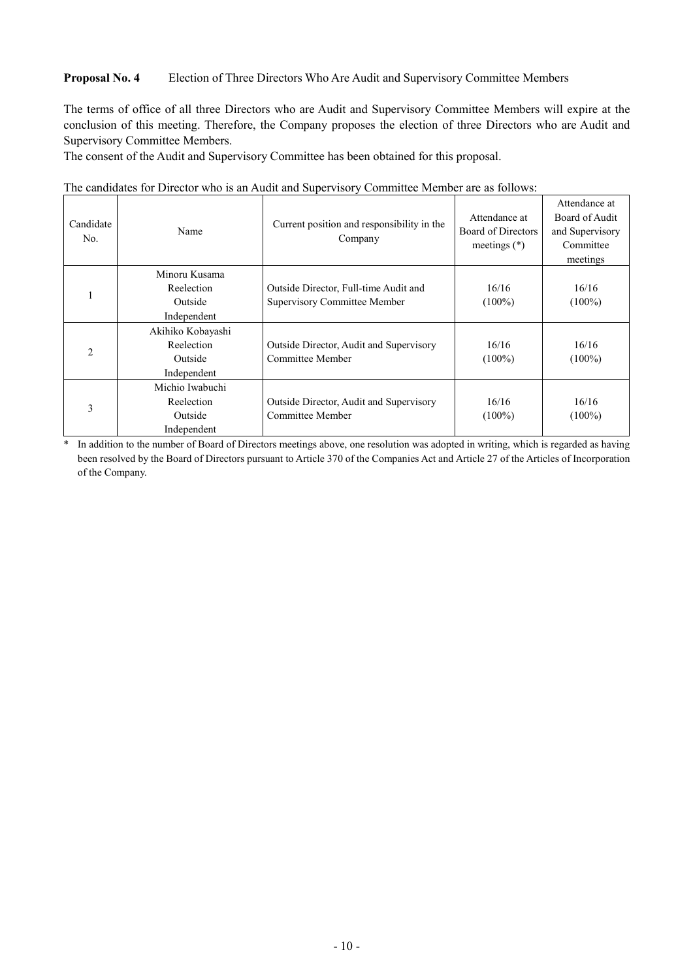### **Proposal No. 4** Election of Three Directors Who Are Audit and Supervisory Committee Members

The terms of office of all three Directors who are Audit and Supervisory Committee Members will expire at the conclusion of this meeting. Therefore, the Company proposes the election of three Directors who are Audit and Supervisory Committee Members.

The consent of the Audit and Supervisory Committee has been obtained for this proposal.

| Candidate<br>No. | Name              | Current position and responsibility in the<br>Company | Attendance at<br>Board of Directors<br>meetings $(*)$ | Attendance at<br>Board of Audit<br>and Supervisory<br>Committee<br>meetings |
|------------------|-------------------|-------------------------------------------------------|-------------------------------------------------------|-----------------------------------------------------------------------------|
|                  | Minoru Kusama     |                                                       |                                                       |                                                                             |
|                  | Reelection        | Outside Director, Full-time Audit and                 | 16/16                                                 | 16/16                                                                       |
|                  | Outside           | Supervisory Committee Member                          | $(100\%)$                                             | $(100\%)$                                                                   |
|                  | Independent       |                                                       |                                                       |                                                                             |
|                  | Akihiko Kobayashi |                                                       |                                                       |                                                                             |
| $\overline{2}$   | Reelection        | Outside Director, Audit and Supervisory               | 16/16                                                 | 16/16                                                                       |
|                  | Outside           | Committee Member                                      | $(100\%)$                                             | $(100\%)$                                                                   |
|                  | Independent       |                                                       |                                                       |                                                                             |
|                  | Michio Iwabuchi   |                                                       |                                                       |                                                                             |
|                  | Reelection        | Outside Director, Audit and Supervisory               | 16/16                                                 | 16/16                                                                       |
| 3                | Outside           | Committee Member                                      | $(100\%)$                                             | $(100\%)$                                                                   |
|                  | Independent       |                                                       |                                                       |                                                                             |

The candidates for Director who is an Audit and Supervisory Committee Member are as follows:

\* In addition to the number of Board of Directors meetings above, one resolution was adopted in writing, which is regarded as having been resolved by the Board of Directors pursuant to Article 370 of the Companies Act and Article 27 of the Articles of Incorporation of the Company.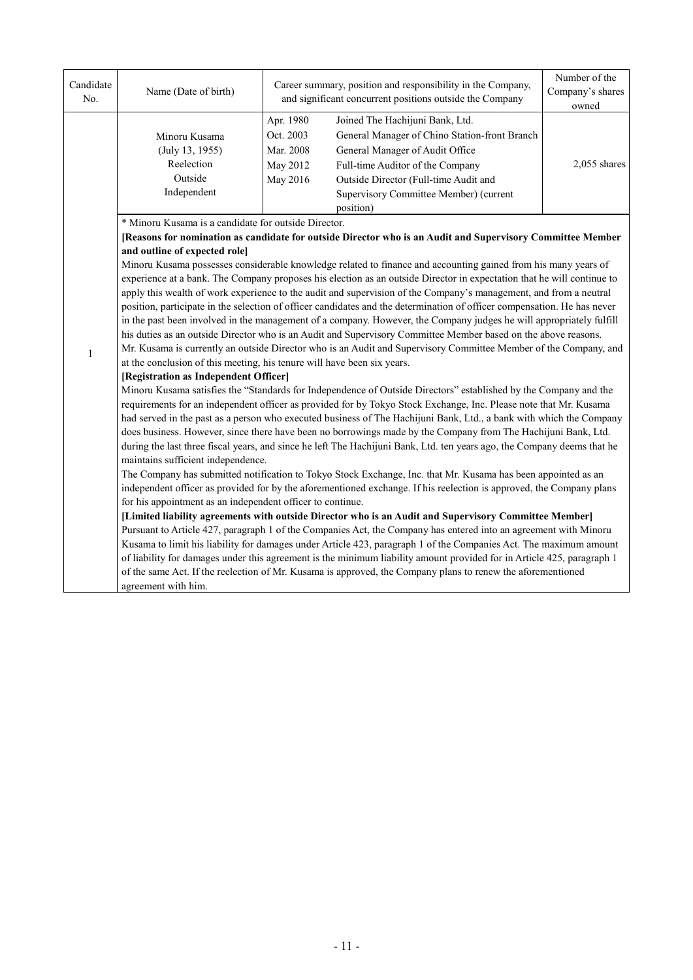| Candidate<br>No. | Name (Date of birth)                                                                                                                                                                                                                                                                                                                                                                                                                                                                                                                                                                                                                                                                                                                                                                                                                                                                                                                                                                                                                                                                                                                                                                                                                                                                                                                                                                                                                                                                                                                                                    |                                                                                                                                                                                                                                                                                                                        | Career summary, position and responsibility in the Company,<br>and significant concurrent positions outside the Company |                |  |  |
|------------------|-------------------------------------------------------------------------------------------------------------------------------------------------------------------------------------------------------------------------------------------------------------------------------------------------------------------------------------------------------------------------------------------------------------------------------------------------------------------------------------------------------------------------------------------------------------------------------------------------------------------------------------------------------------------------------------------------------------------------------------------------------------------------------------------------------------------------------------------------------------------------------------------------------------------------------------------------------------------------------------------------------------------------------------------------------------------------------------------------------------------------------------------------------------------------------------------------------------------------------------------------------------------------------------------------------------------------------------------------------------------------------------------------------------------------------------------------------------------------------------------------------------------------------------------------------------------------|------------------------------------------------------------------------------------------------------------------------------------------------------------------------------------------------------------------------------------------------------------------------------------------------------------------------|-------------------------------------------------------------------------------------------------------------------------|----------------|--|--|
|                  | Minoru Kusama<br>(July 13, 1955)<br>Reelection<br>Outside<br>Independent                                                                                                                                                                                                                                                                                                                                                                                                                                                                                                                                                                                                                                                                                                                                                                                                                                                                                                                                                                                                                                                                                                                                                                                                                                                                                                                                                                                                                                                                                                | Joined The Hachijuni Bank, Ltd.<br>Apr. 1980<br>Oct. 2003<br>General Manager of Chino Station-front Branch<br>Mar. 2008<br>General Manager of Audit Office<br>May 2012<br>Full-time Auditor of the Company<br>May 2016<br>Outside Director (Full-time Audit and<br>Supervisory Committee Member) (current<br>position) |                                                                                                                         | $2,055$ shares |  |  |
|                  | * Minoru Kusama is a candidate for outside Director.                                                                                                                                                                                                                                                                                                                                                                                                                                                                                                                                                                                                                                                                                                                                                                                                                                                                                                                                                                                                                                                                                                                                                                                                                                                                                                                                                                                                                                                                                                                    |                                                                                                                                                                                                                                                                                                                        |                                                                                                                         |                |  |  |
|                  |                                                                                                                                                                                                                                                                                                                                                                                                                                                                                                                                                                                                                                                                                                                                                                                                                                                                                                                                                                                                                                                                                                                                                                                                                                                                                                                                                                                                                                                                                                                                                                         |                                                                                                                                                                                                                                                                                                                        | [Reasons for nomination as candidate for outside Director who is an Audit and Supervisory Committee Member              |                |  |  |
|                  | and outline of expected role]                                                                                                                                                                                                                                                                                                                                                                                                                                                                                                                                                                                                                                                                                                                                                                                                                                                                                                                                                                                                                                                                                                                                                                                                                                                                                                                                                                                                                                                                                                                                           |                                                                                                                                                                                                                                                                                                                        |                                                                                                                         |                |  |  |
|                  | Minoru Kusama possesses considerable knowledge related to finance and accounting gained from his many years of                                                                                                                                                                                                                                                                                                                                                                                                                                                                                                                                                                                                                                                                                                                                                                                                                                                                                                                                                                                                                                                                                                                                                                                                                                                                                                                                                                                                                                                          |                                                                                                                                                                                                                                                                                                                        |                                                                                                                         |                |  |  |
|                  | experience at a bank. The Company proposes his election as an outside Director in expectation that he will continue to                                                                                                                                                                                                                                                                                                                                                                                                                                                                                                                                                                                                                                                                                                                                                                                                                                                                                                                                                                                                                                                                                                                                                                                                                                                                                                                                                                                                                                                  |                                                                                                                                                                                                                                                                                                                        |                                                                                                                         |                |  |  |
|                  | apply this wealth of work experience to the audit and supervision of the Company's management, and from a neutral<br>position, participate in the selection of officer candidates and the determination of officer compensation. He has never                                                                                                                                                                                                                                                                                                                                                                                                                                                                                                                                                                                                                                                                                                                                                                                                                                                                                                                                                                                                                                                                                                                                                                                                                                                                                                                           |                                                                                                                                                                                                                                                                                                                        |                                                                                                                         |                |  |  |
|                  |                                                                                                                                                                                                                                                                                                                                                                                                                                                                                                                                                                                                                                                                                                                                                                                                                                                                                                                                                                                                                                                                                                                                                                                                                                                                                                                                                                                                                                                                                                                                                                         |                                                                                                                                                                                                                                                                                                                        | in the past been involved in the management of a company. However, the Company judges he will appropriately fulfill     |                |  |  |
|                  |                                                                                                                                                                                                                                                                                                                                                                                                                                                                                                                                                                                                                                                                                                                                                                                                                                                                                                                                                                                                                                                                                                                                                                                                                                                                                                                                                                                                                                                                                                                                                                         |                                                                                                                                                                                                                                                                                                                        | his duties as an outside Director who is an Audit and Supervisory Committee Member based on the above reasons.          |                |  |  |
|                  |                                                                                                                                                                                                                                                                                                                                                                                                                                                                                                                                                                                                                                                                                                                                                                                                                                                                                                                                                                                                                                                                                                                                                                                                                                                                                                                                                                                                                                                                                                                                                                         |                                                                                                                                                                                                                                                                                                                        | Mr. Kusama is currently an outside Director who is an Audit and Supervisory Committee Member of the Company, and        |                |  |  |
| $\mathbf{1}$     | at the conclusion of this meeting, his tenure will have been six years.                                                                                                                                                                                                                                                                                                                                                                                                                                                                                                                                                                                                                                                                                                                                                                                                                                                                                                                                                                                                                                                                                                                                                                                                                                                                                                                                                                                                                                                                                                 |                                                                                                                                                                                                                                                                                                                        |                                                                                                                         |                |  |  |
|                  | [Registration as Independent Officer]                                                                                                                                                                                                                                                                                                                                                                                                                                                                                                                                                                                                                                                                                                                                                                                                                                                                                                                                                                                                                                                                                                                                                                                                                                                                                                                                                                                                                                                                                                                                   |                                                                                                                                                                                                                                                                                                                        |                                                                                                                         |                |  |  |
|                  | Minoru Kusama satisfies the "Standards for Independence of Outside Directors" established by the Company and the<br>requirements for an independent officer as provided for by Tokyo Stock Exchange, Inc. Please note that Mr. Kusama<br>had served in the past as a person who executed business of The Hachijuni Bank, Ltd., a bank with which the Company<br>does business. However, since there have been no borrowings made by the Company from The Hachijuni Bank, Ltd.<br>during the last three fiscal years, and since he left The Hachijuni Bank, Ltd. ten years ago, the Company deems that he<br>maintains sufficient independence.<br>The Company has submitted notification to Tokyo Stock Exchange, Inc. that Mr. Kusama has been appointed as an<br>independent officer as provided for by the aforementioned exchange. If his reelection is approved, the Company plans<br>for his appointment as an independent officer to continue.<br>[Limited liability agreements with outside Director who is an Audit and Supervisory Committee Member]<br>Pursuant to Article 427, paragraph 1 of the Companies Act, the Company has entered into an agreement with Minoru<br>Kusama to limit his liability for damages under Article 423, paragraph 1 of the Companies Act. The maximum amount<br>of liability for damages under this agreement is the minimum liability amount provided for in Article 425, paragraph 1<br>of the same Act. If the reelection of Mr. Kusama is approved, the Company plans to renew the aforementioned<br>agreement with him. |                                                                                                                                                                                                                                                                                                                        |                                                                                                                         |                |  |  |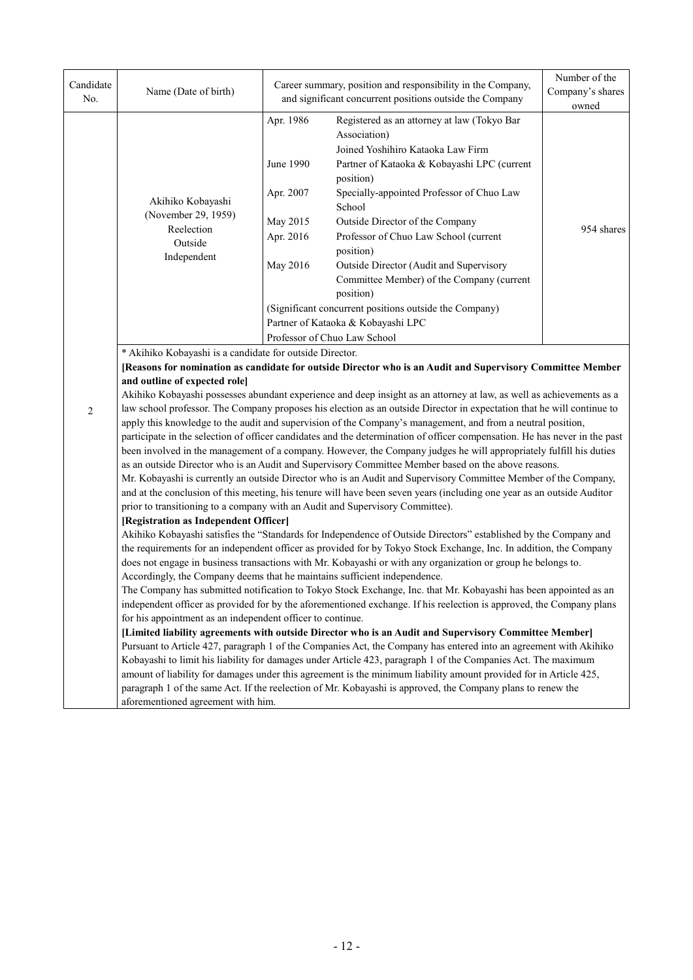| Candidate<br>No. | Name (Date of birth)                                                                                                                                                                                                                                                                                                                                                                                                                                                                                                                                                                                                                                                                                                                                                                                                                                                                                                                                                                                                                                                                                                                                                                                                                                                                                                                                                   |                                                                                                                              | Career summary, position and responsibility in the Company,<br>and significant concurrent positions outside the Company                                                                                                                                                                                                                                                                                                                                                                                                                                                                                                                                                                                                                                                                                                                                                                                                                                                                                                                                                             | Number of the<br>Company's shares<br>owned |  |  |
|------------------|------------------------------------------------------------------------------------------------------------------------------------------------------------------------------------------------------------------------------------------------------------------------------------------------------------------------------------------------------------------------------------------------------------------------------------------------------------------------------------------------------------------------------------------------------------------------------------------------------------------------------------------------------------------------------------------------------------------------------------------------------------------------------------------------------------------------------------------------------------------------------------------------------------------------------------------------------------------------------------------------------------------------------------------------------------------------------------------------------------------------------------------------------------------------------------------------------------------------------------------------------------------------------------------------------------------------------------------------------------------------|------------------------------------------------------------------------------------------------------------------------------|-------------------------------------------------------------------------------------------------------------------------------------------------------------------------------------------------------------------------------------------------------------------------------------------------------------------------------------------------------------------------------------------------------------------------------------------------------------------------------------------------------------------------------------------------------------------------------------------------------------------------------------------------------------------------------------------------------------------------------------------------------------------------------------------------------------------------------------------------------------------------------------------------------------------------------------------------------------------------------------------------------------------------------------------------------------------------------------|--------------------------------------------|--|--|
|                  |                                                                                                                                                                                                                                                                                                                                                                                                                                                                                                                                                                                                                                                                                                                                                                                                                                                                                                                                                                                                                                                                                                                                                                                                                                                                                                                                                                        | Apr. 1986<br>June 1990                                                                                                       | Registered as an attorney at law (Tokyo Bar<br>Association)<br>Joined Yoshihiro Kataoka Law Firm<br>Partner of Kataoka & Kobayashi LPC (current<br>position)                                                                                                                                                                                                                                                                                                                                                                                                                                                                                                                                                                                                                                                                                                                                                                                                                                                                                                                        |                                            |  |  |
|                  | Akihiko Kobayashi<br>(November 29, 1959)                                                                                                                                                                                                                                                                                                                                                                                                                                                                                                                                                                                                                                                                                                                                                                                                                                                                                                                                                                                                                                                                                                                                                                                                                                                                                                                               | Apr. 2007<br>May 2015                                                                                                        |                                                                                                                                                                                                                                                                                                                                                                                                                                                                                                                                                                                                                                                                                                                                                                                                                                                                                                                                                                                                                                                                                     |                                            |  |  |
|                  | Reelection<br>Outside<br>Independent                                                                                                                                                                                                                                                                                                                                                                                                                                                                                                                                                                                                                                                                                                                                                                                                                                                                                                                                                                                                                                                                                                                                                                                                                                                                                                                                   | Apr. 2016                                                                                                                    | Outside Director of the Company<br>Professor of Chuo Law School (current<br>position)                                                                                                                                                                                                                                                                                                                                                                                                                                                                                                                                                                                                                                                                                                                                                                                                                                                                                                                                                                                               | 954 shares                                 |  |  |
|                  |                                                                                                                                                                                                                                                                                                                                                                                                                                                                                                                                                                                                                                                                                                                                                                                                                                                                                                                                                                                                                                                                                                                                                                                                                                                                                                                                                                        | May 2016                                                                                                                     | Outside Director (Audit and Supervisory<br>Committee Member) of the Company (current<br>position)                                                                                                                                                                                                                                                                                                                                                                                                                                                                                                                                                                                                                                                                                                                                                                                                                                                                                                                                                                                   |                                            |  |  |
|                  |                                                                                                                                                                                                                                                                                                                                                                                                                                                                                                                                                                                                                                                                                                                                                                                                                                                                                                                                                                                                                                                                                                                                                                                                                                                                                                                                                                        | (Significant concurrent positions outside the Company)<br>Partner of Kataoka & Kobayashi LPC<br>Professor of Chuo Law School |                                                                                                                                                                                                                                                                                                                                                                                                                                                                                                                                                                                                                                                                                                                                                                                                                                                                                                                                                                                                                                                                                     |                                            |  |  |
| 2                | and outline of expected role]<br>prior to transitioning to a company with an Audit and Supervisory Committee).<br>[Registration as Independent Officer]                                                                                                                                                                                                                                                                                                                                                                                                                                                                                                                                                                                                                                                                                                                                                                                                                                                                                                                                                                                                                                                                                                                                                                                                                |                                                                                                                              | [Reasons for nomination as candidate for outside Director who is an Audit and Supervisory Committee Member<br>Akihiko Kobayashi possesses abundant experience and deep insight as an attorney at law, as well as achievements as a<br>law school professor. The Company proposes his election as an outside Director in expectation that he will continue to<br>apply this knowledge to the audit and supervision of the Company's management, and from a neutral position,<br>participate in the selection of officer candidates and the determination of officer compensation. He has never in the past<br>been involved in the management of a company. However, the Company judges he will appropriately fulfill his duties<br>as an outside Director who is an Audit and Supervisory Committee Member based on the above reasons.<br>Mr. Kobayashi is currently an outside Director who is an Audit and Supervisory Committee Member of the Company,<br>and at the conclusion of this meeting, his tenure will have been seven years (including one year as an outside Auditor |                                            |  |  |
|                  | Akihiko Kobayashi satisfies the "Standards for Independence of Outside Directors" established by the Company and<br>the requirements for an independent officer as provided for by Tokyo Stock Exchange, Inc. In addition, the Company<br>does not engage in business transactions with Mr. Kobayashi or with any organization or group he belongs to.<br>Accordingly, the Company deems that he maintains sufficient independence.<br>The Company has submitted notification to Tokyo Stock Exchange, Inc. that Mr. Kobayashi has been appointed as an<br>independent officer as provided for by the aforementioned exchange. If his reelection is approved, the Company plans<br>for his appointment as an independent officer to continue.<br>[Limited liability agreements with outside Director who is an Audit and Supervisory Committee Member]<br>Pursuant to Article 427, paragraph 1 of the Companies Act, the Company has entered into an agreement with Akihiko<br>Kobayashi to limit his liability for damages under Article 423, paragraph 1 of the Companies Act. The maximum<br>amount of liability for damages under this agreement is the minimum liability amount provided for in Article 425,<br>paragraph 1 of the same Act. If the reelection of Mr. Kobayashi is approved, the Company plans to renew the<br>aforementioned agreement with him. |                                                                                                                              |                                                                                                                                                                                                                                                                                                                                                                                                                                                                                                                                                                                                                                                                                                                                                                                                                                                                                                                                                                                                                                                                                     |                                            |  |  |
|                  |                                                                                                                                                                                                                                                                                                                                                                                                                                                                                                                                                                                                                                                                                                                                                                                                                                                                                                                                                                                                                                                                                                                                                                                                                                                                                                                                                                        |                                                                                                                              |                                                                                                                                                                                                                                                                                                                                                                                                                                                                                                                                                                                                                                                                                                                                                                                                                                                                                                                                                                                                                                                                                     |                                            |  |  |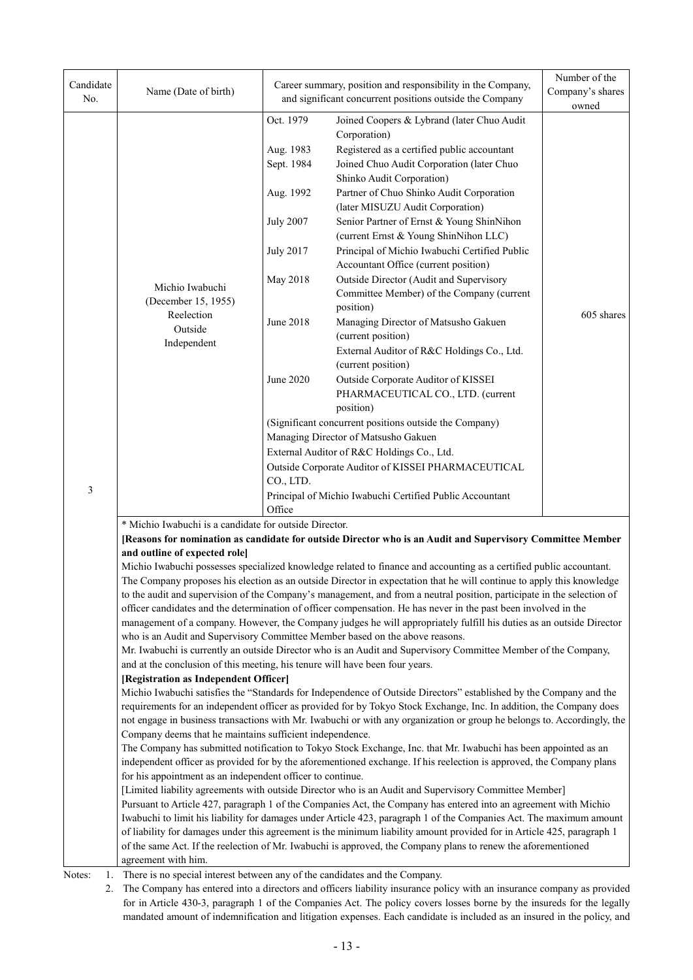| Candidate<br>No. | Name (Date of birth)                                                                                                   |                                                                                                                                                                      | Career summary, position and responsibility in the Company,<br>and significant concurrent positions outside the Company                                                                                                                   | Number of the<br>Company's shares<br>owned |  |  |  |  |
|------------------|------------------------------------------------------------------------------------------------------------------------|----------------------------------------------------------------------------------------------------------------------------------------------------------------------|-------------------------------------------------------------------------------------------------------------------------------------------------------------------------------------------------------------------------------------------|--------------------------------------------|--|--|--|--|
|                  |                                                                                                                        | Oct. 1979<br>Aug. 1983                                                                                                                                               | Joined Coopers & Lybrand (later Chuo Audit<br>Corporation)<br>Registered as a certified public accountant                                                                                                                                 |                                            |  |  |  |  |
|                  |                                                                                                                        | Sept. 1984                                                                                                                                                           | Joined Chuo Audit Corporation (later Chuo<br>Shinko Audit Corporation)                                                                                                                                                                    |                                            |  |  |  |  |
|                  |                                                                                                                        | Aug. 1992                                                                                                                                                            | Partner of Chuo Shinko Audit Corporation<br>(later MISUZU Audit Corporation)                                                                                                                                                              |                                            |  |  |  |  |
|                  |                                                                                                                        | <b>July 2007</b>                                                                                                                                                     | Senior Partner of Ernst & Young ShinNihon<br>(current Ernst & Young ShinNihon LLC)                                                                                                                                                        |                                            |  |  |  |  |
|                  |                                                                                                                        | <b>July 2017</b>                                                                                                                                                     | Principal of Michio Iwabuchi Certified Public<br>Accountant Office (current position)                                                                                                                                                     |                                            |  |  |  |  |
|                  | Michio Iwabuchi<br>(December 15, 1955)                                                                                 | May 2018                                                                                                                                                             | Outside Director (Audit and Supervisory<br>Committee Member) of the Company (current<br>position)                                                                                                                                         |                                            |  |  |  |  |
|                  | Reelection<br>Outside                                                                                                  | June 2018                                                                                                                                                            | Managing Director of Matsusho Gakuen<br>(current position)                                                                                                                                                                                | 605 shares                                 |  |  |  |  |
|                  | Independent                                                                                                            |                                                                                                                                                                      | External Auditor of R&C Holdings Co., Ltd.<br>(current position)                                                                                                                                                                          |                                            |  |  |  |  |
|                  |                                                                                                                        | June 2020                                                                                                                                                            | Outside Corporate Auditor of KISSEI<br>PHARMACEUTICAL CO., LTD. (current<br>position)                                                                                                                                                     |                                            |  |  |  |  |
|                  |                                                                                                                        |                                                                                                                                                                      | (Significant concurrent positions outside the Company)                                                                                                                                                                                    |                                            |  |  |  |  |
|                  |                                                                                                                        |                                                                                                                                                                      | Managing Director of Matsusho Gakuen                                                                                                                                                                                                      |                                            |  |  |  |  |
|                  |                                                                                                                        |                                                                                                                                                                      | External Auditor of R&C Holdings Co., Ltd.                                                                                                                                                                                                |                                            |  |  |  |  |
|                  |                                                                                                                        | Outside Corporate Auditor of KISSEI PHARMACEUTICAL                                                                                                                   |                                                                                                                                                                                                                                           |                                            |  |  |  |  |
| 3                |                                                                                                                        | CO., LTD.                                                                                                                                                            |                                                                                                                                                                                                                                           |                                            |  |  |  |  |
|                  |                                                                                                                        | Principal of Michio Iwabuchi Certified Public Accountant<br>Office                                                                                                   |                                                                                                                                                                                                                                           |                                            |  |  |  |  |
|                  |                                                                                                                        | * Michio Iwabuchi is a candidate for outside Director.<br>[Reasons for nomination as candidate for outside Director who is an Audit and Supervisory Committee Member |                                                                                                                                                                                                                                           |                                            |  |  |  |  |
|                  | and outline of expected role]                                                                                          |                                                                                                                                                                      |                                                                                                                                                                                                                                           |                                            |  |  |  |  |
|                  |                                                                                                                        |                                                                                                                                                                      | Michio Iwabuchi possesses specialized knowledge related to finance and accounting as a certified public accountant.                                                                                                                       |                                            |  |  |  |  |
|                  | The Company proposes his election as an outside Director in expectation that he will continue to apply this knowledge  |                                                                                                                                                                      |                                                                                                                                                                                                                                           |                                            |  |  |  |  |
|                  | to the audit and supervision of the Company's management, and from a neutral position, participate in the selection of |                                                                                                                                                                      |                                                                                                                                                                                                                                           |                                            |  |  |  |  |
|                  |                                                                                                                        |                                                                                                                                                                      | officer candidates and the determination of officer compensation. He has never in the past been involved in the<br>management of a company. However, the Company judges he will appropriately fulfill his duties as an outside Director   |                                            |  |  |  |  |
|                  | who is an Audit and Supervisory Committee Member based on the above reasons.                                           |                                                                                                                                                                      |                                                                                                                                                                                                                                           |                                            |  |  |  |  |
|                  |                                                                                                                        |                                                                                                                                                                      | Mr. Iwabuchi is currently an outside Director who is an Audit and Supervisory Committee Member of the Company,                                                                                                                            |                                            |  |  |  |  |
|                  | and at the conclusion of this meeting, his tenure will have been four years.                                           |                                                                                                                                                                      |                                                                                                                                                                                                                                           |                                            |  |  |  |  |
|                  | [Registration as Independent Officer]                                                                                  |                                                                                                                                                                      |                                                                                                                                                                                                                                           |                                            |  |  |  |  |
|                  |                                                                                                                        |                                                                                                                                                                      | Michio Iwabuchi satisfies the "Standards for Independence of Outside Directors" established by the Company and the<br>requirements for an independent officer as provided for by Tokyo Stock Exchange, Inc. In addition, the Company does |                                            |  |  |  |  |
|                  |                                                                                                                        |                                                                                                                                                                      | not engage in business transactions with Mr. Iwabuchi or with any organization or group he belongs to. Accordingly, the                                                                                                                   |                                            |  |  |  |  |
|                  | Company deems that he maintains sufficient independence.                                                               |                                                                                                                                                                      |                                                                                                                                                                                                                                           |                                            |  |  |  |  |
|                  |                                                                                                                        |                                                                                                                                                                      | The Company has submitted notification to Tokyo Stock Exchange, Inc. that Mr. Iwabuchi has been appointed as an                                                                                                                           |                                            |  |  |  |  |
|                  | independent officer as provided for by the aforementioned exchange. If his reelection is approved, the Company plans   |                                                                                                                                                                      |                                                                                                                                                                                                                                           |                                            |  |  |  |  |
|                  | for his appointment as an independent officer to continue.                                                             |                                                                                                                                                                      | [Limited liability agreements with outside Director who is an Audit and Supervisory Committee Member]                                                                                                                                     |                                            |  |  |  |  |
|                  |                                                                                                                        |                                                                                                                                                                      | Pursuant to Article 427, paragraph 1 of the Companies Act, the Company has entered into an agreement with Michio                                                                                                                          |                                            |  |  |  |  |
|                  |                                                                                                                        |                                                                                                                                                                      | Iwabuchi to limit his liability for damages under Article 423, paragraph 1 of the Companies Act. The maximum amount                                                                                                                       |                                            |  |  |  |  |
|                  |                                                                                                                        |                                                                                                                                                                      | of liability for damages under this agreement is the minimum liability amount provided for in Article 425, paragraph 1                                                                                                                    |                                            |  |  |  |  |
|                  |                                                                                                                        |                                                                                                                                                                      | of the same Act. If the reelection of Mr. Iwabuchi is approved, the Company plans to renew the aforementioned                                                                                                                             |                                            |  |  |  |  |
|                  | agreement with him.                                                                                                    |                                                                                                                                                                      |                                                                                                                                                                                                                                           |                                            |  |  |  |  |
| Notes:<br>1.     | There is no special interest between any of the candidates and the Company.                                            |                                                                                                                                                                      |                                                                                                                                                                                                                                           |                                            |  |  |  |  |

2. The Company has entered into a directors and officers liability insurance policy with an insurance company as provided for in Article 430-3, paragraph 1 of the Companies Act. The policy covers losses borne by the insureds for the legally mandated amount of indemnification and litigation expenses. Each candidate is included as an insured in the policy, and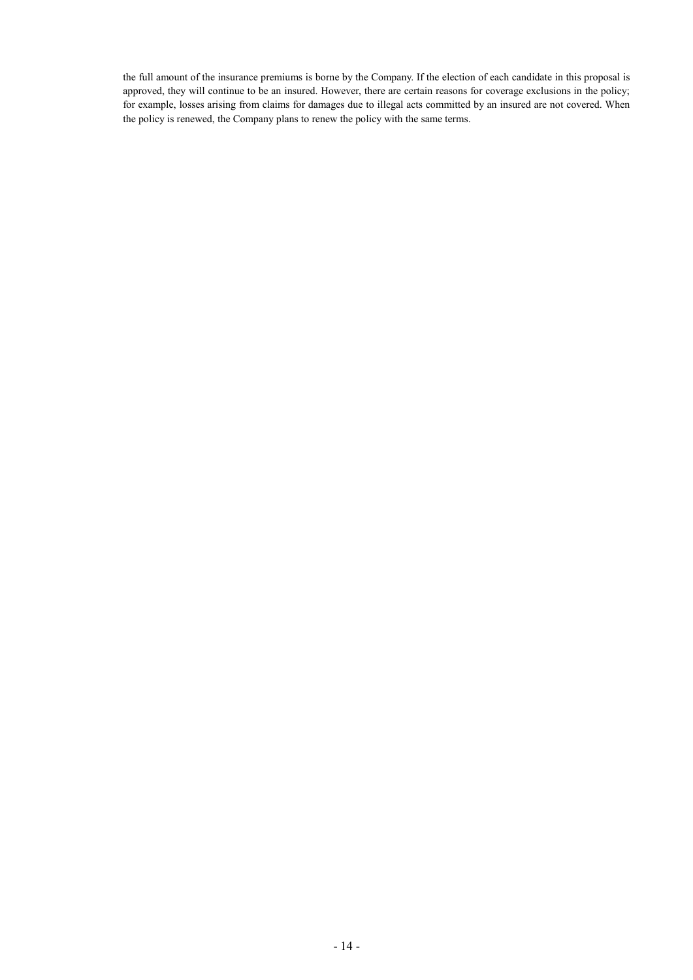the full amount of the insurance premiums is borne by the Company. If the election of each candidate in this proposal is approved, they will continue to be an insured. However, there are certain reasons for coverage exclusions in the policy; for example, losses arising from claims for damages due to illegal acts committed by an insured are not covered. When the policy is renewed, the Company plans to renew the policy with the same terms.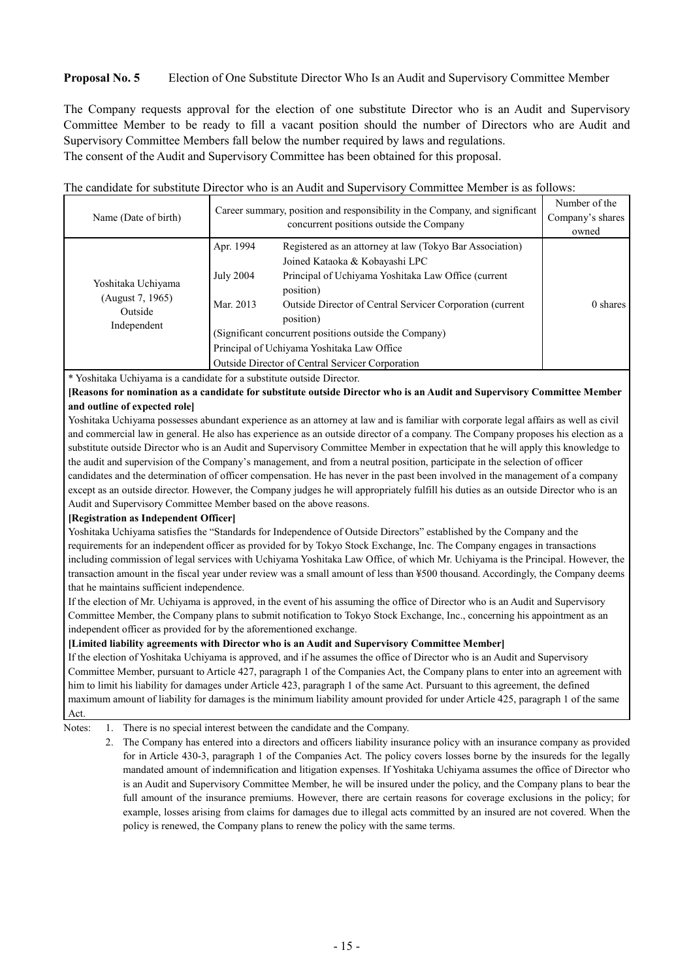### **Proposal No. 5** Election of One Substitute Director Who Is an Audit and Supervisory Committee Member

The Company requests approval for the election of one substitute Director who is an Audit and Supervisory Committee Member to be ready to fill a vacant position should the number of Directors who are Audit and Supervisory Committee Members fall below the number required by laws and regulations. The consent of the Audit and Supervisory Committee has been obtained for this proposal.

The candidate for substitute Director who is an Audit and Supervisory Committee Member is as follows:

| Name (Date of birth)                                             |                                                        | Career summary, position and responsibility in the Company, and significant<br>concurrent positions outside the Company | Number of the<br>Company's shares<br>owned |  |  |  |
|------------------------------------------------------------------|--------------------------------------------------------|-------------------------------------------------------------------------------------------------------------------------|--------------------------------------------|--|--|--|
|                                                                  | Apr. 1994                                              | Registered as an attorney at law (Tokyo Bar Association)                                                                |                                            |  |  |  |
|                                                                  |                                                        | Joined Kataoka & Kobayashi LPC                                                                                          |                                            |  |  |  |
| Yoshitaka Uchiyama<br>(August 7, 1965)<br>Outside<br>Independent | <b>July 2004</b>                                       | Principal of Uchiyama Yoshitaka Law Office (current<br>position)                                                        |                                            |  |  |  |
|                                                                  | Mar. 2013                                              | Outside Director of Central Servicer Corporation (current<br>position)                                                  | 0 shares                                   |  |  |  |
|                                                                  | (Significant concurrent positions outside the Company) |                                                                                                                         |                                            |  |  |  |
|                                                                  |                                                        | Principal of Uchiyama Yoshitaka Law Office                                                                              |                                            |  |  |  |
|                                                                  | Outside Director of Central Servicer Corporation       |                                                                                                                         |                                            |  |  |  |

\* Yoshitaka Uchiyama is a candidate for a substitute outside Director.

**[Reasons for nomination as a candidate for substitute outside Director who is an Audit and Supervisory Committee Member and outline of expected role]**

Yoshitaka Uchiyama possesses abundant experience as an attorney at law and is familiar with corporate legal affairs as well as civil and commercial law in general. He also has experience as an outside director of a company. The Company proposes his election as a substitute outside Director who is an Audit and Supervisory Committee Member in expectation that he will apply this knowledge to the audit and supervision of the Company's management, and from a neutral position, participate in the selection of officer candidates and the determination of officer compensation. He has never in the past been involved in the management of a company except as an outside director. However, the Company judges he will appropriately fulfill his duties as an outside Director who is an Audit and Supervisory Committee Member based on the above reasons.

#### **[Registration as Independent Officer]**

Yoshitaka Uchiyama satisfies the "Standards for Independence of Outside Directors" established by the Company and the requirements for an independent officer as provided for by Tokyo Stock Exchange, Inc. The Company engages in transactions including commission of legal services with Uchiyama Yoshitaka Law Office, of which Mr. Uchiyama is the Principal. However, the transaction amount in the fiscal year under review was a small amount of less than ¥500 thousand. Accordingly, the Company deems that he maintains sufficient independence.

If the election of Mr. Uchiyama is approved, in the event of his assuming the office of Director who is an Audit and Supervisory Committee Member, the Company plans to submit notification to Tokyo Stock Exchange, Inc., concerning his appointment as an independent officer as provided for by the aforementioned exchange.

#### **[Limited liability agreements with Director who is an Audit and Supervisory Committee Member]**

If the election of Yoshitaka Uchiyama is approved, and if he assumes the office of Director who is an Audit and Supervisory Committee Member, pursuant to Article 427, paragraph 1 of the Companies Act, the Company plans to enter into an agreement with him to limit his liability for damages under Article 423, paragraph 1 of the same Act. Pursuant to this agreement, the defined maximum amount of liability for damages is the minimum liability amount provided for under Article 425, paragraph 1 of the same Act.

Notes: 1. There is no special interest between the candidate and the Company.

2. The Company has entered into a directors and officers liability insurance policy with an insurance company as provided for in Article 430-3, paragraph 1 of the Companies Act. The policy covers losses borne by the insureds for the legally mandated amount of indemnification and litigation expenses. If Yoshitaka Uchiyama assumes the office of Director who is an Audit and Supervisory Committee Member, he will be insured under the policy, and the Company plans to bear the full amount of the insurance premiums. However, there are certain reasons for coverage exclusions in the policy; for example, losses arising from claims for damages due to illegal acts committed by an insured are not covered. When the policy is renewed, the Company plans to renew the policy with the same terms.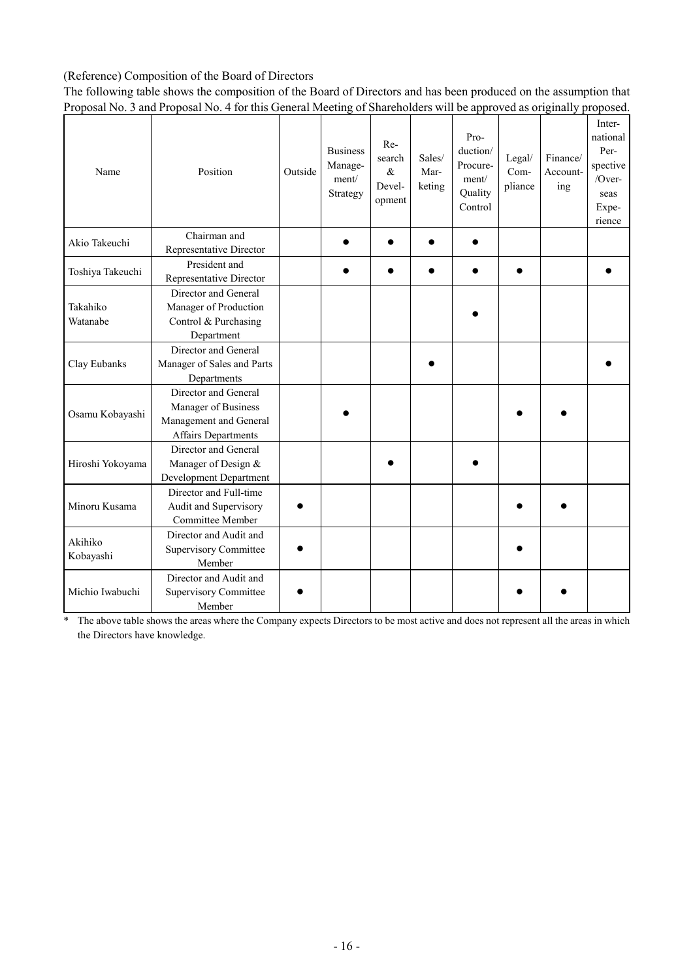## (Reference) Composition of the Board of Directors

The following table shows the composition of the Board of Directors and has been produced on the assumption that Proposal No. 3 and Proposal No. 4 for this General Meeting of Shareholders will be approved as originally proposed.

| Name                 | Position                                                                                            | Outside | <b>Business</b><br>Manage-<br>ment/<br>Strategy | $Re-$<br>search<br>$\&$<br>Devel-<br>opment | Sales/<br>Mar-<br>keting | Pro-<br>duction/<br>Procure-<br>ment/<br>Quality<br>Control | Legal/<br>Com-<br>pliance | Finance/<br>Account-<br>ing | Inter-<br>national<br>Per-<br>spective<br>/Over-<br>seas<br>Expe-<br>rience |
|----------------------|-----------------------------------------------------------------------------------------------------|---------|-------------------------------------------------|---------------------------------------------|--------------------------|-------------------------------------------------------------|---------------------------|-----------------------------|-----------------------------------------------------------------------------|
| Akio Takeuchi        | Chairman and<br>Representative Director                                                             |         |                                                 |                                             |                          |                                                             |                           |                             |                                                                             |
| Toshiya Takeuchi     | President and<br>Representative Director                                                            |         |                                                 |                                             |                          |                                                             |                           |                             |                                                                             |
| Takahiko<br>Watanabe | Director and General<br>Manager of Production<br>Control & Purchasing<br>Department                 |         |                                                 |                                             |                          |                                                             |                           |                             |                                                                             |
| Clay Eubanks         | Director and General<br>Manager of Sales and Parts<br>Departments                                   |         |                                                 |                                             |                          |                                                             |                           |                             |                                                                             |
| Osamu Kobayashi      | Director and General<br>Manager of Business<br>Management and General<br><b>Affairs Departments</b> |         |                                                 |                                             |                          |                                                             |                           |                             |                                                                             |
| Hiroshi Yokoyama     | Director and General<br>Manager of Design &<br>Development Department                               |         |                                                 |                                             |                          |                                                             |                           |                             |                                                                             |
| Minoru Kusama        | Director and Full-time<br>Audit and Supervisory<br>Committee Member                                 |         |                                                 |                                             |                          |                                                             |                           |                             |                                                                             |
| Akihiko<br>Kobayashi | Director and Audit and<br><b>Supervisory Committee</b><br>Member                                    |         |                                                 |                                             |                          |                                                             |                           |                             |                                                                             |
| Michio Iwabuchi      | Director and Audit and<br><b>Supervisory Committee</b><br>Member                                    |         |                                                 |                                             |                          |                                                             |                           |                             |                                                                             |

\* The above table shows the areas where the Company expects Directors to be most active and does not represent all the areas in which the Directors have knowledge.